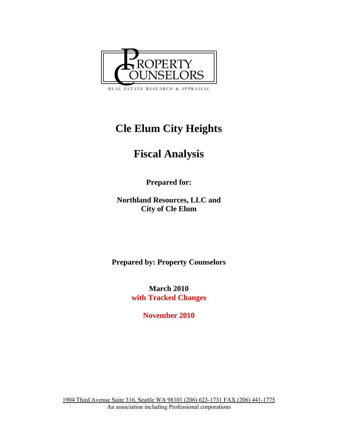

# **Cle Elum City Heights**

# **Fiscal Analysis**

**Prepared for:** 

**Northland Resources, LLC and City of Cle Elum** 

**Prepared by: Property Counselors** 

**March 2010 with Tracked Changes** 

**November 2010**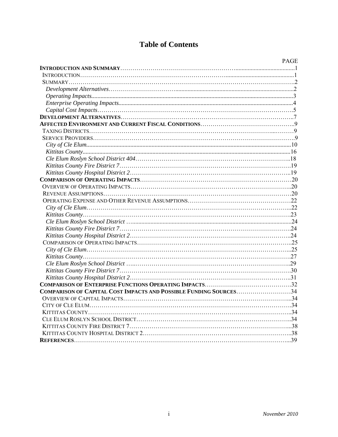# **Table of Contents**

| COMPARISON OF CAPITAL COST IMPACTS AND POSSIBLE FUNDING SOURCES34 |
|-------------------------------------------------------------------|
|                                                                   |
|                                                                   |
|                                                                   |
|                                                                   |
|                                                                   |
|                                                                   |
|                                                                   |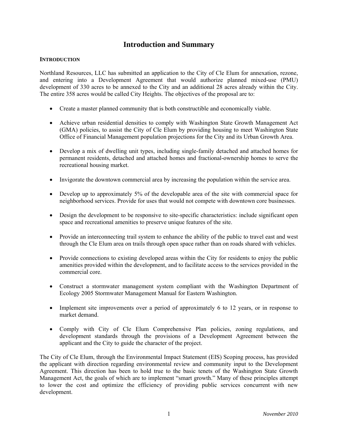# **Introduction and Summary**

# **INTRODUCTION**

Northland Resources, LLC has submitted an application to the City of Cle Elum for annexation, rezone, and entering into a Development Agreement that would authorize planned mixed-use (PMU) development of 330 acres to be annexed to the City and an additional 28 acres already within the City. The entire 358 acres would be called City Heights. The objectives of the proposal are to:

- Create a master planned community that is both constructible and economically viable.
- Achieve urban residential densities to comply with Washington State Growth Management Act (GMA) policies, to assist the City of Cle Elum by providing housing to meet Washington State Office of Financial Management population projections for the City and its Urban Growth Area.
- Develop a mix of dwelling unit types, including single-family detached and attached homes for permanent residents, detached and attached homes and fractional-ownership homes to serve the recreational housing market.
- Invigorate the downtown commercial area by increasing the population within the service area.
- Develop up to approximately 5% of the developable area of the site with commercial space for neighborhood services. Provide for uses that would not compete with downtown core businesses.
- Design the development to be responsive to site-specific characteristics: include significant open space and recreational amenities to preserve unique features of the site.
- Provide an interconnecting trail system to enhance the ability of the public to travel east and west through the Cle Elum area on trails through open space rather than on roads shared with vehicles.
- Provide connections to existing developed areas within the City for residents to enjoy the public amenities provided within the development, and to facilitate access to the services provided in the commercial core.
- Construct a stormwater management system compliant with the Washington Department of Ecology 2005 Stormwater Management Manual for Eastern Washington.
- Implement site improvements over a period of approximately 6 to 12 years, or in response to market demand.
- Comply with City of Cle Elum Comprehensive Plan policies, zoning regulations, and development standards through the provisions of a Development Agreement between the applicant and the City to guide the character of the project.

The City of Cle Elum, through the Environmental Impact Statement (EIS) Scoping process, has provided the applicant with direction regarding environmental review and community input to the Development Agreement. This direction has been to hold true to the basic tenets of the Washington State Growth Management Act, the goals of which are to implement "smart growth." Many of these principles attempt to lower the cost and optimize the efficiency of providing public services concurrent with new development.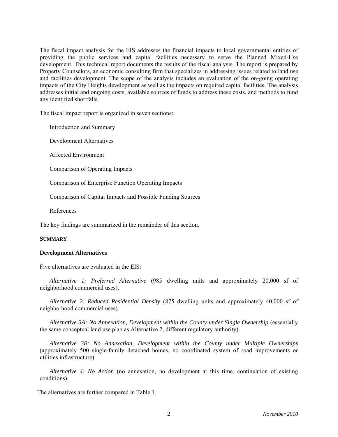The fiscal impact analysis for the EIS addresses the financial impacts to local governmental entities of providing the public services and capital facilities necessary to serve the Planned Mixed-Use development. This technical report documents the results of the fiscal analysis. The report is prepared by Property Counselors, an economic consulting firm that specializes in addressing issues related to land use and facilities development. The scope of the analysis includes an evaluation of the on-going operating impacts of the City Heights development as well as the impacts on required capital facilities. The analysis addresses initial and ongoing costs, available sources of funds to address these costs, and methods to fund any identified shortfalls.

The fiscal impact report is organized in seven sections:

Introduction and Summary

Development Alternatives

Affected Environment

Comparison of Operating Impacts

Comparison of Enterprise Function Operating Impacts

Comparison of Capital Impacts and Possible Funding Sources

References

The key findings are summarized in the remainder of this section.

#### **SUMMARY**

#### **Development Alternatives**

Five alternatives are evaluated in the EIS:

*Alternative 1: Preferred Alternative* (985 dwelling units and approximately 20,000 sf of neighborhood commercial uses).

*Alternative 2: Reduced Residential Density* (875 dwelling units and approximately 40,000 sf of neighborhood commercial uses).

*Alternative 3A: No Annexation, Development within the County under Single Ownership* (essentially the same conceptual land use plan as Alternative 2, different regulatory authority).

*Alternative 3B: No Annexation, Development within the County under Multiple Ownerships* (approximately 500 single-family detached homes, no coordinated system of road improvements or utilities infrastructure).

*Alternative 4: No Action* (no annexation, no development at this time, continuation of existing conditions).

The alternatives are further compared in Table 1.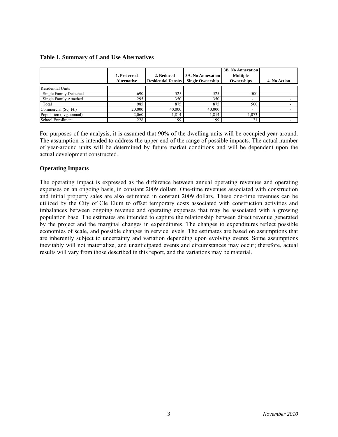#### **Table 1. Summary of Land Use Alternatives**

|                               | 1. Preferred<br><b>Alternative</b> | 2. Reduced<br><b>Residential Density</b> | <b>3A. No Annexation</b><br><b>Single Ownership</b> | <b>3B. No Annexation</b><br><b>Multiple</b><br>Ownerships | 4. No Action |
|-------------------------------|------------------------------------|------------------------------------------|-----------------------------------------------------|-----------------------------------------------------------|--------------|
| <b>Residential Units</b>      |                                    |                                          |                                                     |                                                           |              |
| <b>Single Family Detached</b> | 690                                | 525                                      | 525                                                 | 500                                                       |              |
| Single Family Attached        | 295                                | 350                                      | 350                                                 | $\overline{\phantom{a}}$                                  |              |
| Total                         | 985                                | 875                                      | 875                                                 | 500                                                       |              |
| Commercial (Sq. Ft.)          | 20,000                             | 40,000                                   | 40,000                                              | $\overline{\phantom{a}}$                                  |              |
| Population (avg. annual)      | 2,060                              | .814                                     | 1,814                                               | .073                                                      |              |
| School Enrollment             | 228                                | 199                                      | 199                                                 | 121                                                       |              |

For purposes of the analysis, it is assumed that 90% of the dwelling units will be occupied year-around. The assumption is intended to address the upper end of the range of possible impacts. The actual number of year-around units will be determined by future market conditions and will be dependent upon the actual development constructed.

# **Operating Impacts**

The operating impact is expressed as the difference between annual operating revenues and operating expenses on an ongoing basis, in constant 2009 dollars. One-time revenues associated with construction and initial property sales are also estimated in constant 2009 dollars. These one-time revenues can be utilized by the City of Cle Elum to offset temporary costs associated with construction activities and imbalances between ongoing revenue and operating expenses that may be associated with a growing population base. The estimates are intended to capture the relationship between direct revenue generated by the project and the marginal changes in expenditures. The changes to expenditures reflect possible economies of scale, and possible changes in service levels. The estimates are based on assumptions that are inherently subject to uncertainty and variation depending upon evolving events. Some assumptions inevitably will not materialize, and unanticipated events and circumstances may occur; therefore, actual results will vary from those described in this report, and the variations may be material.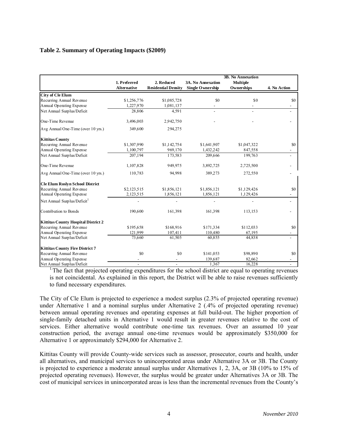# **Table 2. Summary of Operating Impacts (\$2009)**

|                                            | 1. Preferred       | 2. Reduced                 | 3A. No Annexation       | 3B. No Annexation<br><b>Multiple</b> |                          |
|--------------------------------------------|--------------------|----------------------------|-------------------------|--------------------------------------|--------------------------|
|                                            | <b>Alternative</b> | <b>Residential Density</b> | <b>Single Ownership</b> | Ownerships                           | 4. No Action             |
| <b>City of Cle Elum</b>                    |                    |                            |                         |                                      |                          |
| Recurring Annual Revenue                   | \$1,256,776        | \$1,085,728                | \$0                     | \$0                                  | \$0                      |
| Annual Operating Expense                   | 1,227,970          | 1,081,137                  |                         |                                      |                          |
| Net Annual Surplus/Deficit                 | 28,806             | 4,591                      |                         |                                      |                          |
| One-Time Revenue                           | 3,496,003          | 2.942,750                  |                         |                                      |                          |
| Avg Annual One-Time (over 10 yrs.)         | 349,600            | 294,275                    |                         |                                      |                          |
| <b>Kittitas County</b>                     |                    |                            |                         |                                      |                          |
| Recurring Annual Revenue                   | \$1,307.990        | \$1,142,754                | \$1,641.907             | \$1,047,322                          | \$0                      |
| Annual Operating Expense                   | 1,100,797          | 969,170                    | 1,432,242               | 847,558                              |                          |
| Net Annual Surplus/Deficit                 | 207,194            | 173,583                    | 209,666                 | 199,763                              | $\overline{a}$           |
| One-Time Revenue                           | 1,107,828          | 949,975                    | 3,892,725               | 2,725,500                            |                          |
| Avg Annual One-Time (over 10 yrs.)         | 110,783            | 94,998                     | 389,273                 | 272,550                              |                          |
| <b>Cle Elum Roslyn School District</b>     |                    |                            |                         |                                      |                          |
| Recurring Annual Revenue                   | \$2,123,515        | \$1,856,121                | \$1,856,121             | \$1,129,426                          | \$0                      |
| Annual Operating Expense                   | 2, 123, 515        | 1,856,121                  | 1,856,121               | 1,129,426                            |                          |
| Net Annual Surplus/Deficit <sup>1</sup>    |                    |                            |                         |                                      | $\overline{\phantom{0}}$ |
| Contribution to Bonds                      | 190,600            | 161,398                    | 161,398                 | 113,153                              |                          |
| <b>Kittitas County Hospital District 2</b> |                    |                            |                         |                                      |                          |
| Recurring Annual Revenue                   | \$195,658          | \$168,916                  | \$171,334               | \$112,033                            | \$0                      |
| Annual Operating Expense                   | 121.999            | 107,411                    | 110,480                 | 67,195                               | $\overline{\phantom{0}}$ |
| Net Annual Surplus/Deficit                 | 73,660             | 61,505                     | 60.855                  | 44,838                               | L.                       |
| <b>Kittitas County Fire District 7</b>     |                    |                            |                         |                                      |                          |
| Recurring Annual Revenue                   | \$0                | \$0                        | \$141,053               | \$98,890                             | \$0                      |
| Annual Operating Expense                   |                    |                            | 139,687                 | 82,662                               |                          |
| Net Annual Surplus/Deficit                 | $\overline{a}$     |                            | 1.367                   | 16,228                               |                          |

<sup>1.</sup> The fact that projected operating expenditures for the school district are equal to operating revenues is not coincidental. As explained in this report, the District will be able to raise revenues sufficiently to fund necessary expenditures.

The City of Cle Elum is projected to experience a modest surplus (2.3% of projected operating revenue) under Alternative 1 and a nominal surplus under Alternative 2 (.4% of projected operating revenue) between annual operating revenues and operating expenses at full build-out. The higher proportion of single-family detached units in Alternative 1 would result in greater revenues relative to the cost of services. Either alternative would contribute one-time tax revenues. Over an assumed 10 year construction period, the average annual one-time revenues would be approximately \$350,000 for Alternative 1 or approximately \$294,000 for Alternative 2.

Kittitas County will provide County-wide services such as assessor, prosecutor, courts and health, under all alternatives, and municipal services to unincorporated areas under Alternative 3A or 3B. The County is projected to experience a moderate annual surplus under Alternatives 1, 2, 3A, or 3B (10% to 15% of projected operating revenues). However, the surplus would be greater under Alternatives 3A or 3B. The cost of municipal services in unincorporated areas is less than the incremental revenues from the County's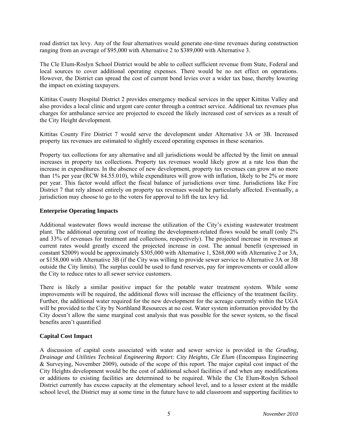road district tax levy. Any of the four alternatives would generate one-time revenues during construction ranging from an average of \$95,000 with Alternative 2 to \$389,000 with Alternative 3.

The Cle Elum-Roslyn School District would be able to collect sufficient revenue from State, Federal and local sources to cover additional operating expenses. There would be no net effect on operations. However, the District can spread the cost of current bond levies over a wider tax base, thereby lowering the impact on existing taxpayers.

Kittitas County Hospital District 2 provides emergency medical services in the upper Kittitas Valley and also provides a local clinic and urgent care center through a contract service. Additional tax revenues plus charges for ambulance service are projected to exceed the likely increased cost of services as a result of the City Height development.

Kittitas County Fire District 7 would serve the development under Alternative 3A or 3B. Increased property tax revenues are estimated to slightly exceed operating expenses in these scenarios.

Property tax collections for any alternative and all jurisdictions would be affected by the limit on annual increases in property tax collections. Property tax revenues would likely grow at a rate less than the increase in expenditures. In the absence of new development, property tax revenues can grow at no more than 1% per year (RCW 84.55.010), while expenditures will grow with inflation, likely to be 2% or more per year. This factor would affect the fiscal balance of jurisdictions over time. Jurisdictions like Fire District 7 that rely almost entirely on property tax revenues would be particularly affected. Eventually, a jurisdiction may choose to go to the voters for approval to lift the tax levy lid.

# **Enterprise Operating Impacts**

Additional wastewater flows would increase the utilization of the City's existing wastewater treatment plant. The additional operating cost of treating the development-related flows would be small (only 2% and 33% of revenues for treatment and collections, respectively). The projected increase in revenues at current rates would greatly exceed the projected increase in cost. The annual benefit (expressed in constant \$2009) would be approximately \$305,000 with Alternative 1, \$268,000 with Alternative 2 or 3A, or \$158,000 with Alternative 3B (if the City was willing to provide sewer service to Alternative 3A or 3B outside the City limits). The surplus could be used to fund reserves, pay for improvements or could allow the City to reduce rates to all sewer service customers.

There is likely a similar positive impact for the potable water treatment system. While some improvements will be required, the additional flows will increase the efficiency of the treatment facility. Further, the additional water required for the new development for the acreage currently within the UGA will be provided to the City by Northland Resources at no cost. Water system information provided by the City doesn't allow the same marginal cost analysis that was possible for the sewer system, so the fiscal benefits aren't quantified

# **Capital Cost Impact**

A discussion of capital costs associated with water and sewer service is provided in the *Grading, Drainage and Utilities Technical Engineering Report: City Heights, Cle Elum* (Encompass Engineering & Surveying, November 2009), outside of the scope of this report. The major capital cost impact of the City Heights development would be the cost of additional school facilities if and when any modifications or additions to existing facilities are determined to be required. While the Cle Elum-Roslyn School District currently has excess capacity at the elementary school level, and to a lesser extent at the middle school level, the District may at some time in the future have to add classroom and supporting facilities to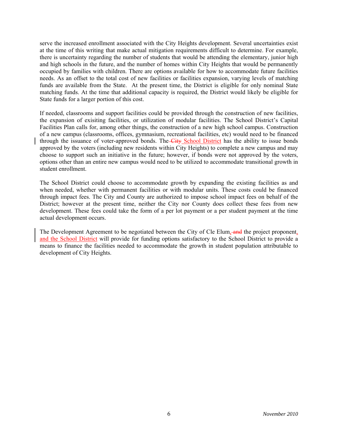serve the increased enrollment associated with the City Heights development. Several uncertainties exist at the time of this writing that make actual mitigation requirements difficult to determine. For example, there is uncertainty regarding the number of students that would be attending the elementary, junior high and high schools in the future, and the number of homes within City Heights that would be permanently occupied by families with children. There are options available for how to accommodate future facilities needs. As an offset to the total cost of new facilities or facilities expansion, varying levels of matching funds are available from the State. At the present time, the District is eligible for only nominal State matching funds. At the time that additional capacity is required, the District would likely be eligible for State funds for a larger portion of this cost.

If needed, classrooms and support facilities could be provided through the construction of new facilities, the expansion of exisiting facilities, or utilization of modular facilities. The School District's Capital Facilities Plan calls for, among other things, the construction of a new high school campus. Construction of a new campus (classrooms, offices, gymnasium, recreational facilities, etc) would need to be financed through the issuance of voter-approved bonds. The City School District has the ability to issue bonds approved by the voters (including new residents within City Heights) to complete a new campus and may choose to support such an initiative in the future; however, if bonds were not approved by the voters, options other than an entire new campus would need to be utilized to accommodate transitional growth in student enrollment.

The School District could choose to accommodate growth by expanding the existing facilities as and when needed, whether with permanent facilities or with modular units. These costs could be financed through impact fees. The City and County are authorized to impose school impact fees on behalf of the District; however at the present time, neither the City nor County does collect these fees from new development. These fees could take the form of a per lot payment or a per student payment at the time actual development occurs.

The Development Agreement to be negotiated between the City of Cle Elum, and the project proponent, and the School District will provide for funding options satisfactory to the School District to provide a means to finance the facilities needed to accommodate the growth in student population attributable to development of City Heights.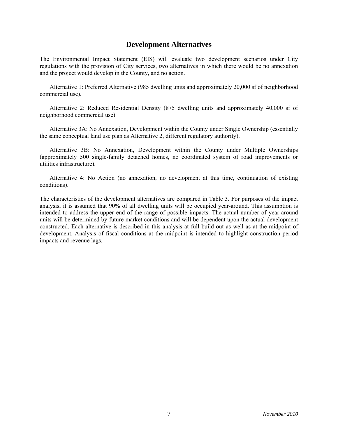# **Development Alternatives**

The Environmental Impact Statement (EIS) will evaluate two development scenarios under City regulations with the provision of City services, two alternatives in which there would be no annexation and the project would develop in the County, and no action.

 Alternative 1: Preferred Alternative (985 dwelling units and approximately 20,000 sf of neighborhood commercial use).

 Alternative 2: Reduced Residential Density (875 dwelling units and approximately 40,000 sf of neighborhood commercial use).

 Alternative 3A: No Annexation, Development within the County under Single Ownership (essentially the same conceptual land use plan as Alternative 2, different regulatory authority).

 Alternative 3B: No Annexation, Development within the County under Multiple Ownerships (approximately 500 single-family detached homes, no coordinated system of road improvements or utilities infrastructure).

 Alternative 4: No Action (no annexation, no development at this time, continuation of existing conditions).

The characteristics of the development alternatives are compared in Table 3. For purposes of the impact analysis, it is assumed that 90% of all dwelling units will be occupied year-around. This assumption is intended to address the upper end of the range of possible impacts. The actual number of year-around units will be determined by future market conditions and will be dependent upon the actual development constructed. Each alternative is described in this analysis at full build-out as well as at the midpoint of development. Analysis of fiscal conditions at the midpoint is intended to highlight construction period impacts and revenue lags.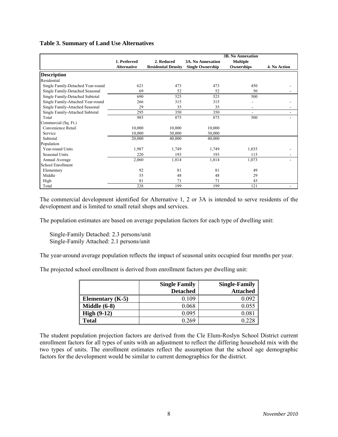#### **Table 3. Summary of Land Use Alternatives**

|                                   |                    |                            |                          | <b>3B. No Annexation</b> |              |
|-----------------------------------|--------------------|----------------------------|--------------------------|--------------------------|--------------|
|                                   | 1. Preferred       | 2. Reduced                 | <b>3A. No Annexation</b> | <b>Multiple</b>          |              |
|                                   | <b>Alternative</b> | <b>Residential Density</b> | <b>Single Ownership</b>  | Ownerships               | 4. No Action |
| <b>Description</b>                |                    |                            |                          |                          |              |
| Residential                       |                    |                            |                          |                          |              |
| Single Family-Detached Year-round | 621                | 473                        | 473                      | 450                      |              |
| Single Family-Detached Seasonal   | 69                 | 52                         | 52                       | 50                       |              |
| Single Family-Detached Subtotal   | 690                | 525                        | 525                      | 500                      |              |
| Single Family-Attached Year-round | 266                | 315                        | 315                      |                          |              |
| Single Family-Attached Seasonal   | 29                 | 35                         | 35                       | $\overline{\phantom{a}}$ |              |
| Single Family-Attached Subtotal   | 295                | 350                        | 350                      | $\overline{\phantom{a}}$ |              |
| Total                             | 985                | 875                        | 875                      | 500                      |              |
| Commercial (Sq. Ft.)              |                    |                            |                          |                          |              |
| Convenience Retail                | 10,000             | 10,000                     | 10,000                   |                          |              |
| Service                           | 10,000             | 30,000                     | 30,000                   |                          |              |
| Subtotal                          | 20,000             | 40,000                     | 40,000                   |                          |              |
| Population                        |                    |                            |                          |                          |              |
| Year-round Units                  | 1,987              | 1,749                      | 1,749                    | 1,035                    |              |
| <b>Seasonal Units</b>             | 220                | 193                        | 193                      | 115                      |              |
| Annual Average                    | 2,060              | 1,814                      | 1,814                    | 1,073                    |              |
| School Enrollment                 |                    |                            |                          |                          |              |
| Elementary                        | 92                 | 81                         | 81                       | 49                       |              |
| Middle                            | 55                 | 48                         | 48                       | 29                       |              |
| High                              | 81                 | 71                         | 71                       | 43                       |              |
| Total                             | 228                | 199                        | 199                      | 121                      |              |

The commercial development identified for Alternative 1, 2 or 3A is intended to serve residents of the development and is limited to small retail shops and services.

The population estimates are based on average population factors for each type of dwelling unit:

 Single-Family Detached: 2.3 persons/unit Single-Family Attached: 2.1 persons/unit

The year-around average population reflects the impact of seasonal units occupied four months per year.

The projected school enrollment is derived from enrollment factors per dwelling unit:

|                         | <b>Single Family</b> | <b>Single-Family</b> |
|-------------------------|----------------------|----------------------|
|                         | <b>Detached</b>      | <b>Attached</b>      |
| <b>Elementary</b> (K-5) | 0.109                | 0.092                |
| Middle $(6-8)$          | 0.068                | 0.055                |
| High $(9-12)$           | 0.095                | $0.081\,$            |
| <b>Total</b>            | 0.269                | 0.22                 |

The student population projection factors are derived from the Cle Elum-Roslyn School District current enrollment factors for all types of units with an adjustment to reflect the differing household mix with the two types of units. The enrollment estimates reflect the assumption that the school age demographic factors for the development would be similar to current demographics for the district.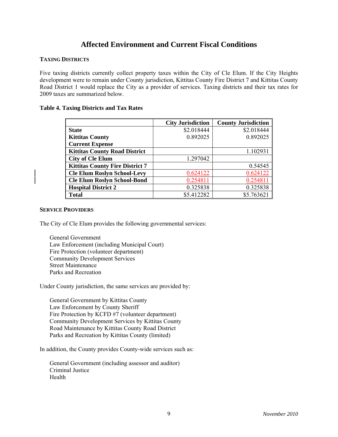# **Affected Environment and Current Fiscal Conditions**

# **TAXING DISTRICTS**

Five taxing districts currently collect property taxes within the City of Cle Elum. If the City Heights development were to remain under County jurisdiction, Kittitas County Fire District 7 and Kittitas County Road District 1 would replace the City as a provider of services. Taxing districts and their tax rates for 2009 taxes are summarized below.

# **Table 4. Taxing Districts and Tax Rates**

|                                        | <b>City Jurisdiction</b> | <b>County Jurisdiction</b> |
|----------------------------------------|--------------------------|----------------------------|
| <b>State</b>                           | \$2.018444               | \$2.018444                 |
| <b>Kittitas County</b>                 | 0.892025                 | 0.892025                   |
| <b>Current Expense</b>                 |                          |                            |
| <b>Kittitas County Road District</b>   |                          | 1.102931                   |
| <b>City of Cle Elum</b>                | 1.297042                 |                            |
| <b>Kittitas County Fire District 7</b> |                          | 0.54545                    |
| <b>Cle Elum Roslyn School-Levy</b>     | 0.624122                 | 0.624122                   |
| <b>Cle Elum Roslyn School-Bond</b>     | 0.254811                 | 0.254811                   |
| <b>Hospital District 2</b>             | 0.325838                 | 0.325838                   |
| <b>Total</b>                           | \$5.412282               | \$5.763621                 |

# **SERVICE PROVIDERS**

The City of Cle Elum provides the following governmental services:

 General Government Law Enforcement (including Municipal Court) Fire Protection (volunteer department) Community Development Services Street Maintenance Parks and Recreation

Under County jurisdiction, the same services are provided by:

 General Government by Kittitas County Law Enforcement by County Sheriff Fire Protection by KCFD #7 (volunteer department) Community Development Services by Kittitas County Road Maintenance by Kittitas County Road District Parks and Recreation by Kittitas County (limited)

In addition, the County provides County-wide services such as:

 General Government (including assessor and auditor) Criminal Justice Health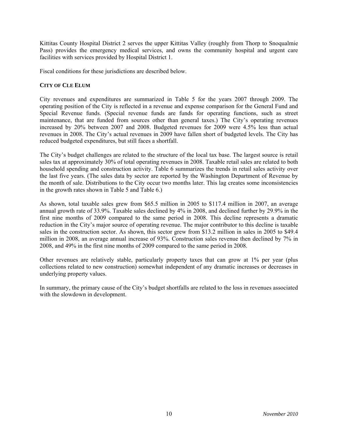Kittitas County Hospital District 2 serves the upper Kittitas Valley (roughly from Thorp to Snoqualmie Pass) provides the emergency medical services, and owns the community hospital and urgent care facilities with services provided by Hospital District 1.

Fiscal conditions for these jurisdictions are described below.

# **CITY OF CLE ELUM**

City revenues and expenditures are summarized in Table 5 for the years 2007 through 2009. The operating position of the City is reflected in a revenue and expense comparison for the General Fund and Special Revenue funds. (Special revenue funds are funds for operating functions, such as street maintenance, that are funded from sources other than general taxes.) The City's operating revenues increased by 20% between 2007 and 2008. Budgeted revenues for 2009 were 4.5% less than actual revenues in 2008. The City's actual revenues in 2009 have fallen short of budgeted levels. The City has reduced budgeted expenditures, but still faces a shortfall.

The City's budget challenges are related to the structure of the local tax base. The largest source is retail sales tax at approximately 30% of total operating revenues in 2008. Taxable retail sales are related to both household spending and construction activity. Table 6 summarizes the trends in retail sales activity over the last five years. (The sales data by sector are reported by the Washington Department of Revenue by the month of sale. Distributions to the City occur two months later. This lag creates some inconsistencies in the growth rates shown in Table 5 and Table 6.)

As shown, total taxable sales grew from \$65.5 million in 2005 to \$117.4 million in 2007, an average annual growth rate of 33.9%. Taxable sales declined by 4% in 2008, and declined further by 29.9% in the first nine months of 2009 compared to the same period in 2008. This decline represents a dramatic reduction in the City's major source of operating revenue. The major contributor to this decline is taxable sales in the construction sector. As shown, this sector grew from \$13.2 million in sales in 2005 to \$49.4 million in 2008, an average annual increase of 93%. Construction sales revenue then declined by 7% in 2008, and 49% in the first nine months of 2009 compared to the same period in 2008.

Other revenues are relatively stable, particularly property taxes that can grow at 1% per year (plus collections related to new construction) somewhat independent of any dramatic increases or decreases in underlying property values.

In summary, the primary cause of the City's budget shortfalls are related to the loss in revenues associated with the slowdown in development.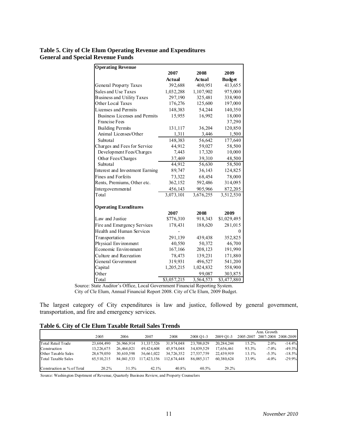# **Table 5. City of Cle Elum Operating Revenue and Expenditures General and Special Revenue Funds**

| <b>Operating Revenue</b>          |               |           |                        |
|-----------------------------------|---------------|-----------|------------------------|
|                                   | 2007          | 2008      | 2009                   |
|                                   | <b>Actual</b> | Actual    | <b>Budget</b>          |
| General Property Taxes            | 392,688       | 400,951   | 413,655                |
| Sales and Use Taxes               | 1,032,288     | 1,107,902 | 975,000                |
| <b>Business and Utility Taxes</b> | 297,190       | 325,481   | 338,900                |
| Other Local Taxes                 | 176,276       | 125,600   | 197,000                |
| Licenses and Permits              | 148,383       | 54,244    | 140,350                |
| Business Licenses and Permits     | 15,955        | 16,992    | 18,000                 |
| <b>Francise Fees</b>              |               |           | 37,290                 |
| <b>Building Permits</b>           | 131,117       | 36,204    | 120,850                |
| Animal Licenses/Other             | 1,311         | 3,446     | 1,500                  |
| Subtotal                          | 148,383       | 56,642    | 177,640                |
| Charges and Fees for Service      | 44,912        | 59,027    | 58,500                 |
| Development Fees/Charges          | 7,443         | 17,320    | 10,000                 |
| Other Fees/Charges                | 37,469        | 39,310    | 48,500                 |
| Subtotal                          | 44,912        | 56,630    | 58,500                 |
| Interest and Investment Earning   | 89,747        | 36,143    | 124,825                |
| Fines and Forfeits                | 73,322        | 68,454    | 78,000                 |
| Rents, Premiums, Other etc.       | 362,152       | 592,486   | 314,095                |
| Intergovernmental                 | 456,143       | 905,966   | 872,205                |
| Total                             | 3,073,101     | 3,676,255 | $\overline{3,512,530}$ |
|                                   |               |           |                        |
| <b>Operating Exenditures</b>      |               |           |                        |
|                                   | 2007          | 2008      | 2009                   |
| Law and Justice                   | \$776,310     | 918,343   | \$1,029,495            |
| Fire and Emergency Services       | 178,431       | 188,620   | 281,015                |
| Health and Human Services         |               |           | 0                      |
| Transportation                    | 291,139       | 439,438   | 352,825                |
| Physical Environment              | 40,550        | 50,372    | 46,700                 |
| Economic Environment              | 167,166       | 208,123   | 191,990                |
| Culture and Recreation            | 78,473        | 139,231   | 171,880                |
| General Government                | 319,931       | 496,527   | 541,200                |
| Capital                           | 1,205,215     | 1,024,832 | 558,900                |
| Other                             |               | 99,087    | 303,875                |
| Total                             | \$3,057,215   | 3,564,573 | \$3,477,880            |

Source: State Auditor's Office, Local Government Financial Reporting System. City of Cle Elum, Annual Financial Report 2008. City of Cle Elum, 2009 Budget.

The largest category of City expenditures is law and justice, followed by general government, transportation, and fire and emergency services.

# **Table 6. City of Cle Elum Taxable Retail Sales Trends**

|                            |            |            |             |             |            |            |           | Ann. Growth |                     |
|----------------------------|------------|------------|-------------|-------------|------------|------------|-----------|-------------|---------------------|
|                            | 2005       | 2006       | 2007        | 2008        | 2008 O1-3  | 2009 O1-3  | 2005-2007 |             | 2007-2008 2008-2009 |
| Total Retail Trade         | 23,604,490 | 26.966.914 | 31,337,526  | 31.974.048  | 23,708,029 | 20,284,244 | 15.2%     | $2.0\%$     | $-14.4%$            |
| Construction               | 13.226.675 | 26.464.021 | 49.424.608  | 45.974.048  | 34.839.529 | 17.656.461 | 93.3%     | $-7.0\%$    | $-49.3%$            |
| <b>Other Taxable Sales</b> | 28.679.050 | 30,610,598 | 36,661,022  | 34,726,352  | 27,537,759 | 22,439,919 | 13.1%     | $-5.3\%$    | $-18.5%$            |
| <b>Total Taxable Sales</b> | 65.510.215 | 84.041.533 | 117.423.156 | 112.674.448 | 86.085.317 | 60.380.624 | 33.9%     | $-4.0\%$    | $-29.9%$            |
| Construction as % of Total | 20.2%      | 31.5%      | 42.1%       | 40.8%       | 40.5%      | $29.2\%$   |           |             |                     |

Source: Washington Deprtment of Revenue, Quarterly Business Review, and Property Counselors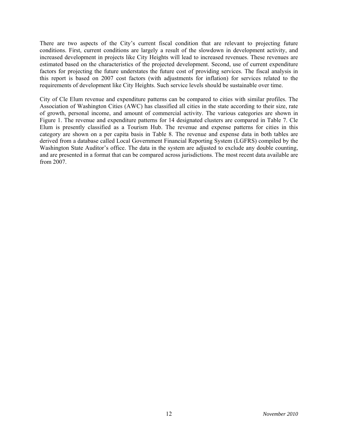There are two aspects of the City's current fiscal condition that are relevant to projecting future conditions. First, current conditions are largely a result of the slowdown in development activity, and increased development in projects like City Heights will lead to increased revenues. These revenues are estimated based on the characteristics of the projected development. Second, use of current expenditure factors for projecting the future understates the future cost of providing services. The fiscal analysis in this report is based on 2007 cost factors (with adjustments for inflation) for services related to the requirements of development like City Heights. Such service levels should be sustainable over time.

City of Cle Elum revenue and expenditure patterns can be compared to cities with similar profiles. The Association of Washington Cities (AWC) has classified all cities in the state according to their size, rate of growth, personal income, and amount of commercial activity. The various categories are shown in Figure 1. The revenue and expenditure patterns for 14 designated clusters are compared in Table 7. Cle Elum is presently classified as a Tourism Hub. The revenue and expense patterns for cities in this category are shown on a per capita basis in Table 8. The revenue and expense data in both tables are derived from a database called Local Government Financial Reporting System (LGFRS) compiled by the Washington State Auditor's office. The data in the system are adjusted to exclude any double counting, and are presented in a format that can be compared across jurisdictions. The most recent data available are from 2007.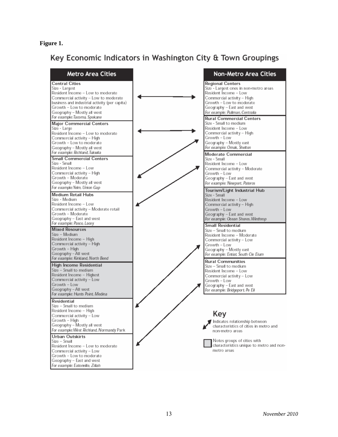# **Figure 1.**

# Key Economic Indicators in Washington City & Town Groupings

| <b>Metro Area Cities</b>                                                                                                                                                                                                                                                                                                                                                                   | <b>Non-Metro Area Cities</b>                                                                                                                                                                                         |
|--------------------------------------------------------------------------------------------------------------------------------------------------------------------------------------------------------------------------------------------------------------------------------------------------------------------------------------------------------------------------------------------|----------------------------------------------------------------------------------------------------------------------------------------------------------------------------------------------------------------------|
| <b>Central Cities</b><br>Size - Largest<br>Resident Income – Low to moderate<br>Commercial activity – Low to moderate<br>business and industrial activity (per capita)<br>Growth – Low to moderate<br>Geography – Mostly all west                                                                                                                                                          | <b>Regional Centers</b><br>Size - Largest ones in non-metro areas<br>Resident Income - Low<br>Commercial activity – High<br>Growth - Low to moderate<br>Geography - East and west<br>For example: Pullman, Centralia |
| For example: Tacoma, Spokane<br>Major Commercial Centers<br>Size - Large<br>Resident Income – Low to moderate<br>Commercial activity – High<br>Growth – Low to moderate<br>Geography - Mostly all west                                                                                                                                                                                     | <b>Rural Commercial Centers</b><br>Size - Small to medium<br>Resident Income – Low<br>Commercial activity – High<br>Growth - Low<br>Geography – Mostly east<br>For example: Omak, Shelton                            |
| For example: Richland, Tukwila<br><b>Small Commercial Centers</b><br>Size - Small<br>Resident Income – Low<br>Commercial activity – High<br>Growth – Moderate<br>Geography – Mostly all west                                                                                                                                                                                               | Moderate Commercial<br>Size - Small<br>Resident Income - Low<br>Commercial activity - Moderate<br>Growth – Low<br>Geography - East and west<br>For example: Newport, Pateros                                         |
| For example:Yeim, Union Gap<br><b>Medium Retail Hubs</b><br>Size - Medium<br>Resident Income – Low<br>Commercial activity – Moderate retail<br>Growth – Moderate<br>Geography – East and west                                                                                                                                                                                              | Tourism/Light Industrial Hub<br>Size - Small<br>Resident Income - Low<br>Commercial activity - High<br>Growth - Low<br>Geography - East and west<br>For example: Ocean Shores, Winthrop                              |
| For example: Pasco, Lacey<br><b>Mixed Resources</b><br>Size - Medium<br>Resident Income - High<br>Commercial activity - High<br>Growth - High<br>Geography – All west                                                                                                                                                                                                                      | <b>Small Residential</b><br>Size – Small to medium<br>Resident Income – Moderate<br>Commercial activity - Low<br>Growth – Low<br>Geography - Mostly east<br>For example: Entiat, South Cle Elum                      |
| For example: Kirkland, North Bend<br>High Income Residential<br>Size – Small to medium<br>Resident Income – Highest<br>Commercial activity - Low<br>Growth – Low<br>Geography - All west<br>For example: Hunts Point, Medina                                                                                                                                                               | <b>Rural Communities</b><br>Size – Small to medium<br>Resident Income – Low<br>Commercial activity - Low<br>Growth – Low<br>Geography – East and west<br>For example: Bridgeport, Pe Ell                             |
| Residential<br>Size – Small to medium<br>Resident Income – High<br>Commercial activity – Low<br>Growth - High<br>Geography - Mostly all west<br>For example: West Richland, Normandy Park<br>Urban Outskirts<br>Size – Small<br>Resident Income - Low to moderate<br>Commercial activity - Low<br>Growth – Low to moderate<br>Geography - East and west<br>For example: Eatonville, Zillah | Key<br>Indicates relationship between<br>characteristics of cities in metro and<br>non-metro areas<br>Notes groups of cities with<br>characteristics unique to metro and non-<br>metro areas                         |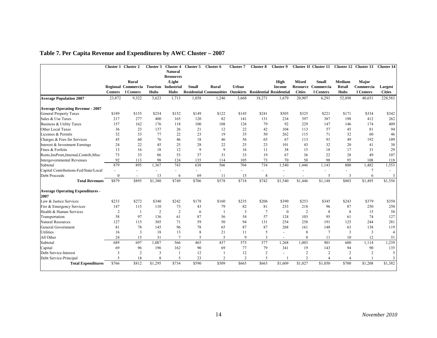|  | Table 7. Per Capita Revenue and Expenditures by AWC Cluster – 2007 |  |  |
|--|--------------------------------------------------------------------|--|--|
|  |                                                                    |  |  |

|                                                 |                          | Cluster 1 Cluster 2      | Cluster 3      | <b>Cluster 4</b>          | Cluster 5                | Cluster 6                      | Cluster 7                | <b>Cluster 8</b>                         | Cluster 9                |                 | Cluster 10 Cluster 11 |                | Cluster 12 Cluster 13 | <b>Cluster 14</b> |
|-------------------------------------------------|--------------------------|--------------------------|----------------|---------------------------|--------------------------|--------------------------------|--------------------------|------------------------------------------|--------------------------|-----------------|-----------------------|----------------|-----------------------|-------------------|
|                                                 |                          |                          |                | <b>Natural</b>            |                          |                                |                          |                                          |                          |                 |                       |                |                       |                   |
|                                                 |                          |                          |                | <b>Resources</b>          |                          |                                |                          |                                          |                          |                 |                       |                |                       |                   |
|                                                 |                          | Rural                    |                | /Light                    |                          |                                |                          |                                          | High                     | <b>Mixed</b>    | <b>Small</b>          | Medium         | Major                 |                   |
|                                                 |                          | Regional Commercia       |                | <b>Tourism Industrial</b> | <b>Small</b>             | Rural                          | Urban                    |                                          | <b>Income</b>            | <b>Resource</b> | Commercia             | Retail         | Commercia             | <b>Largest</b>    |
|                                                 | <b>Centers</b>           | 1 Centers                | <b>Hubs</b>    | <b>Hubs</b>               |                          | <b>Residential Communities</b> |                          | <b>Outskirts Residential Residential</b> |                          | <b>Cities</b>   | 1 Centers             | <b>Hubs</b>    | 1 Centers             | <b>Cities</b>     |
| <b>Average Population 2007</b>                  | 23,872                   | 9,322                    | 3,623          | 1,713                     | 1,058                    | 1,246                          | 3,668                    | 18,271                                   | 1,679                    | 20,907          | 6,291                 | 52,898         | 40,651                | 228,583           |
| <b>Average Operating Revenue - 2007</b>         |                          |                          |                |                           |                          |                                |                          |                                          |                          |                 |                       |                |                       |                   |
| <b>General Property Taxes</b>                   | \$189                    | \$155                    | \$254          | \$152                     | \$149                    | \$122                          | \$145                    | \$241                                    | \$505                    | \$325           | \$221                 | \$171          | \$334                 | \$342             |
| Sales & Use Taxes                               | 217                      | 277                      | 400            | 165                       | 120                      | 82                             | 141                      | 131                                      | 234                      | 397             | 387                   | 198            | 412                   | 262               |
| Business & Utility Taxes                        | 157                      | 162                      | 176            | 118                       | 100                      | 108                            | 126                      | 79                                       | 92                       | 229             | 147                   | 146            | 174                   | 409               |
| Other Local Taxes                               | 36                       | 23                       | 137            | 26                        | 21                       | 12                             | 22                       | 42                                       | 104                      | 113             | 57                    | 45             | 81                    | 94                |
| Licenses & Permits                              | 32                       | 33                       | 77             | 22                        | 23                       | 19                             | 35                       | 50                                       | 262                      | 115             | 71                    | 32             | 60                    | 46                |
| Charges & Fees for Services                     | 45                       | 60                       | 76             | 46                        | 18                       | 46                             | 56                       | 65                                       | 67                       | 113             | 91                    | 49             | 192                   | 109               |
| Interest & Investment Earnings                  | 24                       | 22                       | 45             | 25                        | 28                       | 22                             | 25                       | 23                                       | 101                      | 43              | 32                    | 20             | 41                    | 38                |
| Fines & Forfeits                                | 13                       | 16                       | 18             | 12                        | 9                        | 9                              | 16                       | 11                                       | 38                       | 15              | 18                    | 17             | 31                    | 29                |
| Rents, InsPrem, Internal, Contrib, Misc         | 73                       | 33                       | 86             | 53                        | 37                       | 31                             | 33                       | 19                                       | 67                       | 36              | 22                    | 28             | 49                    | 107               |
| <b>Intergovernmental Revenues</b>               | 92                       | 113                      | 98             | 124                       | 135                      | 114                            | 105                      | 73                                       | 70                       | 58              | 98                    | 95             | 108                   | 118               |
| Subtotal                                        | 879                      | 895                      | 1,367          | 743                       | 638                      | 566                            | 704                      | 734                                      | 1,540                    | 1,446           | 1,143                 | 800            | 1,482                 | 1,553             |
| Capital Contributions-Fed/State/Local           | $\overline{\phantom{a}}$ |                          | $\overline{a}$ | $\overline{\phantom{a}}$  | $\overline{\phantom{0}}$ |                                | $\overline{\phantom{a}}$ |                                          |                          |                 |                       |                |                       |                   |
| Debt Proceeds                                   | $\theta$                 | $\overline{\phantom{a}}$ | 13             | 6                         | 69                       | 11                             | 15                       | 8                                        |                          |                 | 5                     | 3              |                       | 3                 |
| <b>Total Revenues</b>                           | \$879                    | \$895                    | \$1,380        | \$749                     | \$706                    | $\overline{$}578$              | \$718                    | $\sqrt{$742}$                            | \$1,540                  | \$1,446         | \$1,148               | \$803          | \$1,495               | \$1,556           |
| <b>Average Operating Expenditures -</b><br>2007 |                          |                          |                |                           |                          |                                |                          |                                          |                          |                 |                       |                |                       |                   |
| Law & Justice Services                          | \$233                    | \$272                    | \$340          | \$242                     | \$178                    | \$160                          | \$235                    | \$206                                    | \$390                    | \$253           | \$345                 | \$243          | \$379                 | \$350             |
| Fire & Emergency Services                       | 147                      | 115                      | 110            | 73                        | 43                       | 79                             | 82                       | 81                                       | 233                      | 218             | 96                    | 87             | 250                   | 250               |
| Health & Human Services                         | $\overline{2}$           |                          | $\overline{2}$ | $\overline{2}$            | 6                        |                                | 3                        | $\overline{7}$                           | $\mathbf{0}$             | $\overline{2}$  | 8                     | 8              | 15                    | 58                |
| Transportation                                  | 58                       | 97                       | 136            | 61                        | 87                       | 56                             | 54                       | 57                                       | 124                      | 103             | 95                    | 61             | 74                    | 127               |
| <b>Natural Resources</b>                        | 127                      | 115                      | 305            | 71                        | 59                       | 50                             | 94                       | 131                                      | 254                      | 258             | 191                   | 125            | 244                   | 281               |
| General Government                              | 81                       | 78                       | 145            | 96                        | 78                       | 65                             | 87                       | 87                                       | 268                      | 161             | 148                   | 63             | 138                   | 119               |
| Utilities                                       | 16                       | $\overline{3}$           | 18             | 13                        | 8                        | 21                             | 11                       | 5                                        | $\overline{\phantom{0}}$ | 8               | $\tau$                | $\overline{3}$ | 3                     |                   |
| All Other                                       | 24                       | 15                       | 31             | $\overline{7}$            | 5                        | 5                              | $\mathbf Q$              | 3                                        |                          | $\Omega$        | 11                    | 10             | 12                    | 51                |
| Subtotal                                        | 689                      | 697                      | 1,087          | 566                       | 465                      | 437                            | 575                      | 577                                      | 1,268                    | 1,003           | 901                   | 600            | 1,114                 | 1,239             |
| Capital                                         | 69                       | 96                       | 196            | 162                       | 90                       | 69                             | 77                       | 79                                       | 341                      | 19              | 143                   | 94             | 90                    | 135               |
| Debt Service-Interest                           | 3                        | $\overline{2}$           | 3              | -1                        | 12                       |                                | 12                       | $\overline{2}$                           | $\overline{\phantom{0}}$ | $\overline{2}$  | $\overline{2}$        | $\overline{2}$ | 2                     | 5                 |
| Debt Service-Principal                          | 5                        | 18                       | 8              | 5                         | 23                       | $\overline{2}$                 | $\overline{2}$           | 5                                        |                          | $\overline{2}$  | $\overline{4}$        | $\overline{A}$ |                       | 3                 |
| <b>Total Expenditures</b>                       | \$766                    | \$812                    | \$1,295        | \$734                     | \$590                    | \$509                          | \$665                    | \$663                                    | \$1,609                  | \$1,027         | \$1,050               | \$700          | \$1,208               | \$1,382           |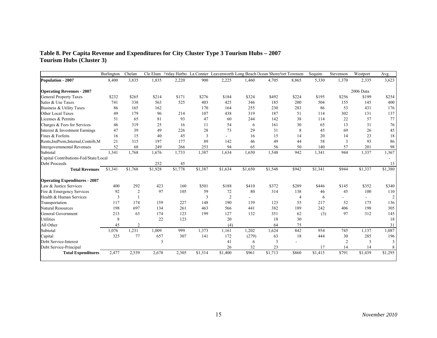#### **Table 8. Per Capita Revenue and Expenditures for City Cluster Type 3 Tourism Hubs – 2007 Tourism Hubs (Cluster 3)**

|                                       | Burlington | Chelan         | Cle Elum       | Friday Harbo: |         | La Conner Leavenworth Long Beach Ocean Shores' ort Townsen |         |         |       | Sequim  | Stevenson      | Westport  | Avg.           |
|---------------------------------------|------------|----------------|----------------|---------------|---------|------------------------------------------------------------|---------|---------|-------|---------|----------------|-----------|----------------|
| Population - 2007                     | 8,400      | 3,835          | 1,835          | 2,220         | 900     | 2,225                                                      | 1.460   | 4,705   | 8,865 | 5,330   | 1,370          | 2,335     | 3,623          |
| <b>Operating Revenues - 2007</b>      |            |                |                |               |         |                                                            |         |         |       |         |                | 2006 Data |                |
| <b>General Property Taxes</b>         | \$232      | \$265          | \$214          | \$171         | \$276   | \$184                                                      | \$324   | \$492   | \$224 | \$195   | \$256          | \$199     | \$254          |
| Sales & Use Taxes                     | 741        | 338            | 563            | 525           | 403     | 425                                                        | 346     | 185     | 200   | 504     | 155            | 145       | 400            |
| Business & Utility Taxes              | 86         | 165            | 162            |               | 170     | 164                                                        | 255     | 230     | 283   | 86      | 53             | 431       | 176            |
| Other Local Taxes                     | 49         | 179            | 96             | 214           | 107     | 438                                                        | 319     | 187     | 51    | 114     | 302            | 131       | 137            |
| Licenses & Permits                    | 51         | 65             | 81             | 93            | 47      | 60                                                         | 244     | 142     | 38    | 114     | 22             | 57        | 77             |
| Charges & Fees for Services           | 46         | 319            | 25             | 16            | 11      | 54                                                         | 6       | 161     | 30    | 65      | 13             | 31        | 76             |
| Interest & Investment Earnings        | 47         | 39             | 49             | 226           | 28      | 73                                                         | 29      | 31      | 8     | 45      | 69             | 26        | 45             |
| Fines & Forfeits                      | 16         | 15             | 40             | 45            | 3       |                                                            | 16      | 15      | 14    | 20      | 14             | 23        | 18             |
| Rents, InsPrem, Internal, Contrib, M  | 21         | 315            | 197            | 177           | 89      | 142                                                        | 46      | 49      | 44    | 58      | 3              | 93        | 86             |
| <b>Intergovernmental Revenues</b>     | 52         | 68             | 249            | 266           | 253     | 94                                                         | 65      | 56      | 50    | 140     | 57             | 201       | 98             |
| Subtotal                              | 1,341      | 1,768          | 1,676          | 1,733         | 1,387   | 1,634                                                      | 1,650   | 1,548   | 942   | 1,341   | 944            | 1,337     | 1,367          |
| Capital Contributions-Fed/State/Local |            |                |                |               |         |                                                            |         |         |       |         |                |           |                |
| Debt Proceeds                         |            |                | 252            | 45            |         |                                                            |         |         |       |         |                |           | 13             |
| <b>Total Revenues</b>                 | \$1,341    | \$1,768        | \$1,928        | \$1,778       | \$1,387 | \$1,634                                                    | \$1,650 | \$1,548 | \$942 | \$1,341 | \$944          | \$1,337   | \$1,380        |
| <b>Operating Expenditures - 2007</b>  |            |                |                |               |         |                                                            |         |         |       |         |                |           |                |
| Law & Justice Services                | 400        | 292            | 423            | 160           | \$501   | \$188                                                      | \$410   | \$372   | \$289 | \$446   | \$145          | \$352     | \$340          |
| Fire & Emergency Services             | 92         | $\overline{2}$ | 97             | 105           | 59      | 72                                                         | 80      | 314     | 138   | 46      | 45             | 100       | 110            |
| Health & Human Services               | 3          | $\overline{1}$ |                |               | 3       | $\overline{2}$                                             |         |         | 4     | 6       |                |           | $\overline{c}$ |
| Transportation                        | 117        | 174            | 159            | 227           | 148     | 190                                                        | 139     | 123     | 55    | 217     | 52             | 175       | 136            |
| <b>Natural Resources</b>              | 198        | 697            | 134            | 261           | 463     | 566                                                        | 441     | 382     | 189   | 242     | 406            | 198       | 305            |
| <b>General Government</b>             | 213        | 63             | 174            | 123           | 199     | 127                                                        | 132     | 351     | 62    | (3)     | 97             | 312       | 145            |
| <b>Utilities</b>                      | 8          |                | 22             | 123           |         | 20                                                         |         | 18      | 30    |         |                |           | 18             |
| All Other                             | 45         | $\overline{2}$ |                |               |         | (4)                                                        |         | 64      | 75    |         |                |           | 31             |
| Subtotal                              | 1.076      | 1,231          | 1,009          | 999           | 1,373   | 1,161                                                      | 1,202   | 1.624   | 842   | 954     | 745            | 1,137     | 1,087          |
| Capital                               | 325        | 77             | 657            | 307           | 141     | 172                                                        | (279)   | 63      | 18    | 444     | 30             | 285       | 196            |
| Debt Service-Interest                 |            |                | $\overline{3}$ |               |         | 41                                                         | 6       | 3       |       |         | $\overline{2}$ | 3         | 3              |
| Debt Service-Principal                |            |                |                |               |         | 26                                                         | 32      | 23      |       | 17      | 14             | 14        | 8              |
| <b>Total Expenditures</b>             | 2,477      | 2,539          | 2,678          | 2,305         | \$1,514 | \$1,400                                                    | \$961   | \$1,713 | \$860 | \$1,415 | \$791          | \$1,439   | \$1,295        |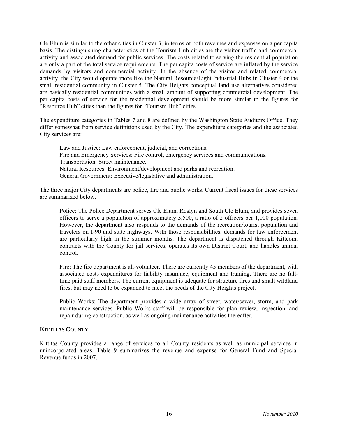Cle Elum is similar to the other cities in Cluster 3, in terms of both revenues and expenses on a per capita basis. The distinguishing characteristics of the Tourism Hub cities are the visitor traffic and commercial activity and associated demand for public services. The costs related to serving the residential population are only a part of the total service requirements. The per capita costs of service are inflated by the service demands by visitors and commercial activity. In the absence of the visitor and related commercial activity, the City would operate more like the Natural Resource/Light Industrial Hubs in Cluster 4 or the small residential community in Cluster 5. The City Heights conceptual land use alternatives considered are basically residential communities with a small amount of supporting commercial development. The per capita costs of service for the residential development should be more similar to the figures for "Resource Hub" cities than the figures for "Tourism Hub" cities.

The expenditure categories in Tables 7 and 8 are defined by the Washington State Auditors Office. They differ somewhat from service definitions used by the City. The expenditure categories and the associated City services are:

Law and Justice: Law enforcement, judicial, and corrections. Fire and Emergency Services: Fire control, emergency services and communications. Transportation: Street maintenance. Natural Resources: Environment/development and parks and recreation. General Government: Executive/legislative and administration.

The three major City departments are police, fire and public works. Current fiscal issues for these services are summarized below.

Police: The Police Department serves Cle Elum, Roslyn and South Cle Elum, and provides seven officers to serve a population of approximately 3,500, a ratio of 2 officers per 1,000 population. However, the department also responds to the demands of the recreation/tourist population and travelers on I-90 and state highways. With those responsibilities, demands for law enforcement are particularly high in the summer months. The department is dispatched through Kittcom, contracts with the County for jail services, operates its own District Court, and handles animal control.

Fire: The fire department is all-volunteer. There are currently 45 members of the department, with associated costs expenditures for liability insurance, equipment and training. There are no fulltime paid staff members. The current equipment is adequate for structure fires and small wildland fires, but may need to be expanded to meet the needs of the City Heights project.

Public Works: The department provides a wide array of street, water/sewer, storm, and park maintenance services. Public Works staff will be responsible for plan review, inspection, and repair during construction, as well as ongoing maintenance activities thereafter.

# **KITTITAS COUNTY**

Kittitas County provides a range of services to all County residents as well as municipal services in unincorporated areas. Table 9 summarizes the revenue and expense for General Fund and Special Revenue funds in 2007.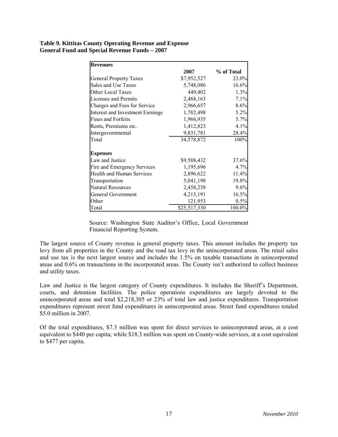### **Table 9. Kittitas County Operating Revenue and Expense General Fund and Special Revenue Funds – 2007**

| <b>Revenues</b>                         |              |            |
|-----------------------------------------|--------------|------------|
|                                         | 2007         | % of Total |
| <b>General Property Taxes</b>           | \$7,952,527  | 23.0%      |
| Sales and Use Taxes                     | 5,748,086    | 16.6%      |
| <b>Other Local Taxes</b>                | 449,402      | 1.3%       |
| Licenses and Permits                    | 2,468,163    | 7.1%       |
| Charges and Fees for Service            | 2,966,657    | 8.6%       |
| <b>Interest and Investment Earnings</b> | 1,782,498    | 5.2%       |
| <b>Fines and Forfeits</b>               | 1,966,935    | 5.7%       |
| Rents, Premiums etc.                    | 1,412,823    | 4.1%       |
| Intergovernmental                       | 9,831,781    | 28.4%      |
| Total                                   | 34,578,872   | 100%       |
| <b>Expenses</b>                         |              |            |
| Law and Justice                         | \$9,588,432  | 37.6%      |
| Fire and Emergency Services             | 1,195,696    | 4.7%       |
| <b>Health and Human Services</b>        | 2,896,622    | 11.4%      |
| Transportation                          | 5,041,198    | 19.8%      |
| <b>Natural Resources</b>                | 2,458,238    | 9.6%       |
| <b>General Government</b>               | 4,215,191    | 16.5%      |
| Other                                   | 121,953      | 0.5%       |
| Total                                   | \$25,517,330 | 100.0%     |

Source: Washington State Auditor's Office, Local Government Financial Reporting System.

The largest source of County revenue is general property taxes. This amount includes the property tax levy from all properties in the County and the road tax levy in the unincorporated areas. The retail sales and use tax is the next largest source and includes the 1.5% on taxable transactions in unincorporated areas and 0.6% on transactions in the incorporated areas. The County isn't authorized to collect business and utility taxes.

Law and Justice is the largest category of County expenditures. It includes the Sheriff's Department, courts, and detention facilities. The police operations expenditures are largely devoted to the unincorporated areas and total \$2,218,305 or 23% of total law and justice expenditures. Transportation expenditures represent street fund expenditures in unincorporated areas. Street fund expenditures totaled \$5.0 million in 2007.

Of the total expenditures, \$7.3 million was spent for direct services to unincorporated areas, at a cost equivalent to \$440 per capita; while \$18.3 million was spent on County-wide services, at a cost equivalent to \$477 per capita.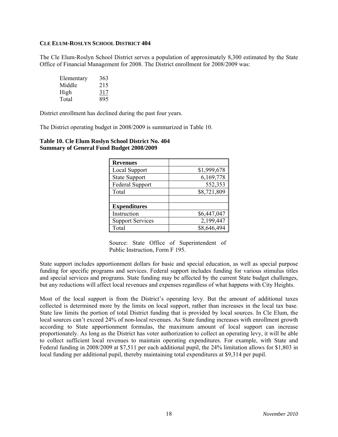#### **CLE ELUM-ROSLYN SCHOOL DISTRICT 404**

The Cle Elum-Roslyn School District serves a population of approximately 8,300 estimated by the State Office of Financial Management for 2008. The District enrollment for 2008/2009 was:

| Elementary | 363 |
|------------|-----|
| Middle     | 215 |
| High       | 317 |
| Total      | 895 |

District enrollment has declined during the past four years.

The District operating budget in 2008/2009 is summarized in Table 10.

| <b>Revenues</b>         |             |
|-------------------------|-------------|
| <b>Local Support</b>    | \$1,999,678 |
| <b>State Support</b>    | 6,169,778   |
| <b>Federal Support</b>  | 552,353     |
| Total                   | \$8,721,809 |
| <b>Expenditures</b>     |             |
| Instruction             | \$6,447,047 |
| <b>Support Services</b> | 2,199,447   |
| Total                   | \$8,646,494 |

#### **Table 10. Cle Elum Roslyn School District No. 404 Summary of General Fund Budget 2008/2009**

Source: State Office of Superintendent of Public Instruction, Form F 195.

State support includes apportionment dollars for basic and special education, as well as special purpose funding for specific programs and services. Federal support includes funding for various stimulus titles and special services and programs. State funding may be affected by the current State budget challenges, but any reductions will affect local revenues and expenses regardless of what happens with City Heights.

Most of the local support is from the District's operating levy. But the amount of additional taxes collected is determined more by the limits on local support, rather than increases in the local tax base. State law limits the portion of total District funding that is provided by local sources. In Cle Elum, the local sources can't exceed 24% of non-local revenues. As State funding increases with enrollment growth according to State apportionment formulas, the maximum amount of local support can increase proportionately. As long as the District has voter authorization to collect an operating levy, it will be able to collect sufficient local revenues to maintain operating expenditures. For example, with State and Federal funding in 2008/2009 at \$7,511 per each additional pupil, the 24% limitation allows for \$1,803 in local funding per additional pupil, thereby maintaining total expenditures at \$9,314 per pupil.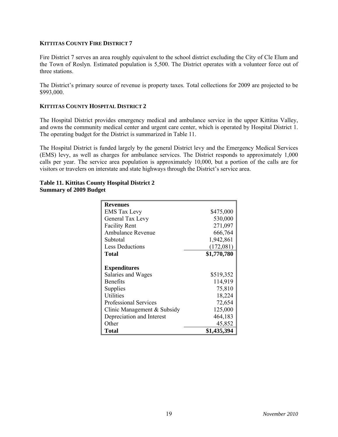### **KITTITAS COUNTY FIRE DISTRICT 7**

Fire District 7 serves an area roughly equivalent to the school district excluding the City of Cle Elum and the Town of Roslyn. Estimated population is 5,500. The District operates with a volunteer force out of three stations.

The District's primary source of revenue is property taxes. Total collections for 2009 are projected to be \$993,000.

# **KITTITAS COUNTY HOSPITAL DISTRICT 2**

The Hospital District provides emergency medical and ambulance service in the upper Kittitas Valley, and owns the community medical center and urgent care center, which is operated by Hospital District 1. The operating budget for the District is summarized in Table 11.

The Hospital District is funded largely by the general District levy and the Emergency Medical Services (EMS) levy, as well as charges for ambulance services. The District responds to approximately 1,000 calls per year. The service area population is approximately 10,000, but a portion of the calls are for visitors or travelers on interstate and state highways through the District's service area.

| <b>Revenues</b>              |             |
|------------------------------|-------------|
| <b>EMS</b> Tax Levy          | \$475,000   |
| General Tax Levy             | 530,000     |
| <b>Facility Rent</b>         | 271,097     |
| <b>Ambulance Revenue</b>     | 666,764     |
| Subtotal                     | 1,942,861   |
| <b>Less Deductions</b>       | (172,081)   |
| Total                        | \$1,770,780 |
|                              |             |
| <b>Expenditures</b>          |             |
| Salaries and Wages           | \$519,352   |
| <b>Benefits</b>              | 114,919     |
| Supplies                     | 75,810      |
| Utilities                    | 18,224      |
| <b>Professional Services</b> | 72,654      |
| Clinic Management & Subsidy  | 125,000     |
| Depreciation and Interest    | 464,183     |
| Other                        | 45,852      |
| Total                        | \$1,435,394 |

### **Table 11. Kittitas County Hospital District 2 Summary of 2009 Budget**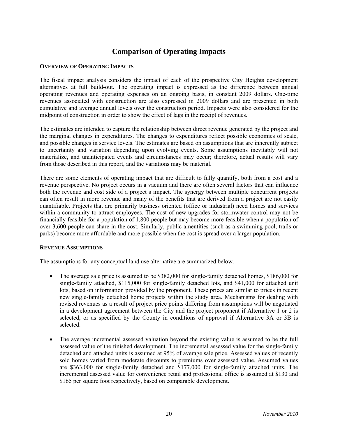# **Comparison of Operating Impacts**

#### **OVERVIEW OF OPERATING IMPACTS**

The fiscal impact analysis considers the impact of each of the prospective City Heights development alternatives at full build-out. The operating impact is expressed as the difference between annual operating revenues and operating expenses on an ongoing basis, in constant 2009 dollars. One-time revenues associated with construction are also expressed in 2009 dollars and are presented in both cumulative and average annual levels over the construction period. Impacts were also considered for the midpoint of construction in order to show the effect of lags in the receipt of revenues.

The estimates are intended to capture the relationship between direct revenue generated by the project and the marginal changes in expenditures. The changes to expenditures reflect possible economies of scale, and possible changes in service levels. The estimates are based on assumptions that are inherently subject to uncertainty and variation depending upon evolving events. Some assumptions inevitably will not materialize, and unanticipated events and circumstances may occur; therefore, actual results will vary from those described in this report, and the variations may be material.

There are some elements of operating impact that are difficult to fully quantify, both from a cost and a revenue perspective. No project occurs in a vacuum and there are often several factors that can influence both the revenue and cost side of a project's impact. The synergy between multiple concurrent projects can often result in more revenue and many of the benefits that are derived from a project are not easily quantifiable. Projects that are primarily business oriented (office or industrial) need homes and services within a community to attract employees. The cost of new upgrades for stormwater control may not be financially feasible for a population of 1,800 people but may become more feasible when a population of over 3,600 people can share in the cost. Similarly, public amentities (such as a swimming pool, trails or parks) become more affordable and more possible when the cost is spread over a larger population.

# **REVENUE ASSUMPTIONS**

The assumptions for any conceptual land use alternative are summarized below.

- The average sale price is assumed to be \$382,000 for single-family detached homes, \$186,000 for single-family attached, \$115,000 for single-family detached lots, and \$41,000 for attached unit lots, based on information provided by the proponent. These prices are similar to prices in recent new single-family detached home projects within the study area. Mechanisms for dealing with revised revenues as a result of project price points differing from assumptions will be negotiated in a development agreement between the City and the project proponent if Alternative 1 or 2 is selected, or as specified by the County in conditions of approval if Alternative 3A or 3B is selected.
- The average incremental assessed valuation beyond the existing value is assumed to be the full assessed value of the finished development. The incremental assessed value for the single-family detached and attached units is assumed at 95% of average sale price. Assessed values of recently sold homes varied from moderate discounts to premiums over assessed value. Assumed values are \$363,000 for single-family detached and \$177,000 for single-family attached units. The incremental assessed value for convenience retail and professional office is assumed at \$130 and \$165 per square foot respectively, based on comparable development.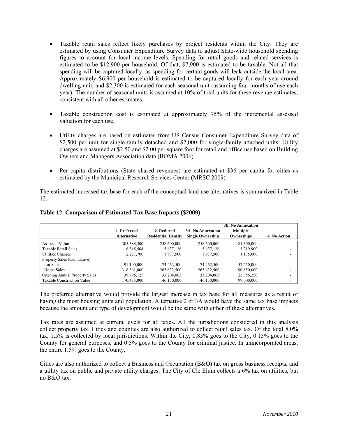- Taxable retail sales reflect likely purchases by project residents within the City. They are estimated by using Consumer Expenditure Survey data to adjust State-wide household spending figures to account for local income levels. Spending for retail goods and related services is estimated to be \$12,900 per household. Of that, \$7,900 is estimated to be taxable. Not all that spending will be captured locally, as spending for certain goods will leak outside the local area. Approximately \$6,900 per household is estimated to be captured locally for each year-around dwelling unit, and \$2,300 is estimated for each seasonal unit (assuming four months of use each year). The number of seasonal units is assumed at 10% of total units for these revenue estimates, consistent with all other estimates.
- Taxable construction cost is estimated at approximately 75% of the incremental assessed valuation for each use.
- Utility charges are based on estimates from US Census Consumer Expenditure Survey data of \$2,500 per unit for single-family detached and \$2,000 for single-family attached units. Utility charges are assumed at \$2.50 and \$2.00 per square foot for retail and office use based on Building Owners and Managers Association data (BOMA 2006).
- Per capita distributions (State shared revenues) are estimated at \$36 per capita for cities as estimated by the Municipal Research Services Center (MRSC 2009).

The estimated increased tax base for each of the conceptual land use alternatives is summarized in Table 12.

|                                      | 1. Preferred<br><b>Alternative</b> | 2. Reduced<br><b>Residential Density</b> | <b>3A. No Annexation</b><br><b>Single Ownership</b> | <b>3B. No Annexation</b><br><b>Multiple</b><br>Ownerships | 4. No Action |
|--------------------------------------|------------------------------------|------------------------------------------|-----------------------------------------------------|-----------------------------------------------------------|--------------|
| Assessed Value                       | 305,388,500                        | 258,600,000                              | 258,600,000                                         | 181,300,000                                               | -            |
| Taxable Retail Sales                 | 6.345.504                          | 5,637,126                                | 5,637,126                                           | 3,219,900                                                 | ٠            |
| Utilities Charges                    | 2,221,700                          | 1,977,500                                | 1.977.500                                           | 1,175,000                                                 |              |
| Property Sales (Cumulative)          |                                    |                                          |                                                     |                                                           |              |
| Lot Sales                            | 91.100.000                         | 74.462.500                               | 74.462.500                                          | 57,250,000                                                | ۰            |
| Home Sales                           | 318, 361, 000                      | 265,632,500                              | 265,632,500                                         | 190,850,000                                               |              |
| <b>Ongoing Annual Property Sales</b> | 39,795,125                         | 33,204,063                               | 33,204,063                                          | 23,856,250                                                | ۰            |
| <b>Taxable Construction Value</b>    | 170,435,000                        | 146,150,000                              | 146,150,000                                         | 99,000,000                                                |              |

#### **Table 12. Comparison of Estimated Tax Base Impacts (\$2009)**

The preferred alternative would provide the largest increase in tax base for all measures as a result of having the most housing units and population. Alternative 2 or 3A would have the same tax base impacts because the amount and type of development would be the same with either of these alternatives.

Tax rates are assumed at current levels for all taxes. All the jurisdictions considered in this analysis collect property tax. Cities and counties are also authorized to collect retail sales tax. Of the total 8.0% tax, 1.5% is collected by local jurisdictions. Within the City, 0.85% goes to the City, 0.15% goes to the County for general purposes, and 0.5% goes to the County for criminal justice. In unincorporated areas, the entire 1.5% goes to the County.

Cities are also authorized to collect a Business and Occupation (B&O) tax on gross business receipts, and a utility tax on public and private utility charges. The City of Cle Elum collects a 6% tax on utilities, but no B&O tax.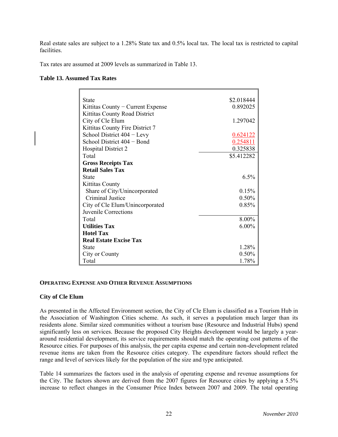Real estate sales are subject to a 1.28% State tax and 0.5% local tax. The local tax is restricted to capital facilities.

Tax rates are assumed at 2009 levels as summarized in Table 13.

#### **Table 13. Assumed Tax Rates**

| <b>State</b>                      | \$2.018444 |
|-----------------------------------|------------|
| Kittitas County – Current Expense | 0.892025   |
| Kittitas County Road District     |            |
| City of Cle Elum                  | 1.297042   |
| Kittitas County Fire District 7   |            |
| School District 404 - Levy        | 0.624122   |
| School District 404 – Bond        | 0.254811   |
| <b>Hospital District 2</b>        | 0.325838   |
| Total                             | \$5.412282 |
| <b>Gross Receipts Tax</b>         |            |
| <b>Retail Sales Tax</b>           |            |
| <b>State</b>                      | 6.5%       |
| <b>Kittitas County</b>            |            |
| Share of City/Unincorporated      | 0.15%      |
| Criminal Justice                  | 0.50%      |
| City of Cle Elum/Unincorporated   | $0.85\%$   |
| Juvenile Corrections              |            |
| Total                             | 8.00%      |
| <b>Utilities Tax</b>              | $6.00\%$   |
| <b>Hotel Tax</b>                  |            |
| <b>Real Estate Excise Tax</b>     |            |
| <b>State</b>                      | 1.28%      |
| City or County                    | $0.50\%$   |
| Total                             | 1.78%      |

#### **OPERATING EXPENSE AND OTHER REVENUE ASSUMPTIONS**

# **City of Cle Elum**

As presented in the Affected Environment section, the City of Cle Elum is classified as a Tourism Hub in the Association of Washington Cities scheme. As such, it serves a population much larger than its residents alone. Similar sized communities without a tourism base (Resource and Industrial Hubs) spend significantly less on services. Because the proposed City Heights development would be largely a yeararound residential development, its service requirements should match the operating cost patterns of the Resource cities. For purposes of this analysis, the per capita expense and certain non-development related revenue items are taken from the Resource cities category. The expenditure factors should reflect the range and level of services likely for the population of the size and type anticipated.

Table 14 summarizes the factors used in the analysis of operating expense and revenue assumptions for the City. The factors shown are derived from the 2007 figures for Resource cities by applying a 5.5% increase to reflect changes in the Consumer Price Index between 2007 and 2009. The total operating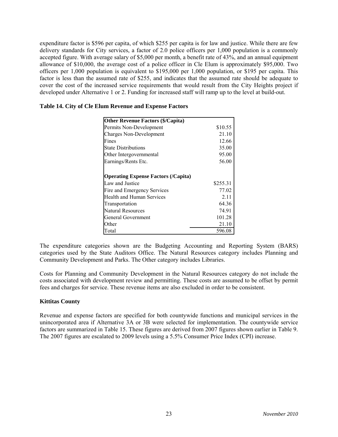expenditure factor is \$596 per capita, of which \$255 per capita is for law and justice. While there are few delivery standards for City services, a factor of 2.0 police officers per 1,000 population is a commonly accepted figure. With average salary of \$5,000 per month, a benefit rate of 43%, and an annual equipment allowance of \$10,000, the average cost of a police officer in Cle Elum is approximately \$95,000. Two officers per 1,000 population is equivalent to \$195,000 per 1,000 population, or \$195 per capita. This factor is less than the assumed rate of \$255, and indicates that the assumed rate should be adequate to cover the cost of the increased service requirements that would result from the City Heights project if developed under Alternative 1 or 2. Funding for increased staff will ramp up to the level at build-out.

| <b>Other Revenue Factors (\$/Capita)</b>   |          |
|--------------------------------------------|----------|
| Permits Non-Development                    | \$10.55  |
| <b>Charges Non-Development</b>             | 21.10    |
| Fines                                      | 12.66    |
| <b>State Distributions</b>                 | 35.00    |
| Other Intergovernmental                    | 95.00    |
| Earnings/Rents Etc.                        | 56.00    |
|                                            |          |
| <b>Operating Expense Factors (/Capita)</b> |          |
| Law and Justice                            | \$255.31 |
| Fire and Emergency Services                | 77.02    |
| Health and Human Services                  | 2.11     |
| Transportation                             | 64.36    |
| <b>Natural Resources</b>                   | 74.91    |
| <b>General Government</b>                  | 101.28   |
| Other                                      | 21.10    |
| Total                                      | 596.08   |

|  |  |  |  | Table 14. City of Cle Elum Revenue and Expense Factors |
|--|--|--|--|--------------------------------------------------------|
|--|--|--|--|--------------------------------------------------------|

The expenditure categories shown are the Budgeting Accounting and Reporting System (BARS) categories used by the State Auditors Office. The Natural Resources category includes Planning and Community Development and Parks. The Other category includes Libraries.

Costs for Planning and Community Development in the Natural Resources category do not include the costs associated with development review and permitting. These costs are assumed to be offset by permit fees and charges for service. These revenue items are also excluded in order to be consistent.

# **Kittitas County**

Revenue and expense factors are specified for both countywide functions and municipal services in the unincorporated area if Alternative 3A or 3B were selected for implementation. The countywide service factors are summarized in Table 15. These figures are derived from 2007 figures shown earlier in Table 9. The 2007 figures are escalated to 2009 levels using a 5.5% Consumer Price Index (CPI) increase.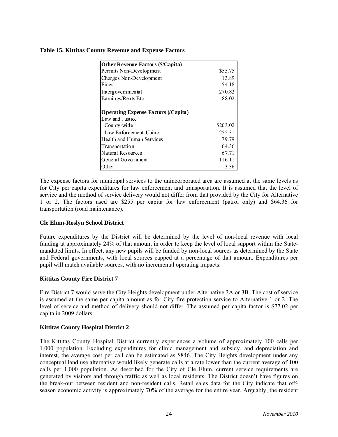# **Table 15. Kittitas County Revenue and Expense Factors**

| <b>Other Revenue Factors (\$/Capita)</b>   |          |
|--------------------------------------------|----------|
| Permits Non-Development                    | \$55.75  |
| Charges Non-Development                    | 13.89    |
| Fines                                      | 54.18    |
| Intergovernmental                          | 270.82   |
| Earnings/Rents Etc.                        | 88.02    |
| <b>Operating Expense Factors (/Capita)</b> |          |
| Law and Justice                            |          |
| County-wide                                | \$203.02 |
| Law Enforcement-Uninc.                     | 255.31   |
| Health and Human Services                  | 79.79    |
| Transportation                             | 64.36    |
| Natural Resources                          | 67.71    |
| General Government                         | 116.11   |
| Other                                      | 3.36     |

The expense factors for municipal services to the unincorporated area are assumed at the same levels as for City per capita expenditures for law enforcement and transportation. It is assumed that the level of service and the method of service delivery would not differ from that provided by the City for Alternative 1 or 2. The factors used are \$255 per capita for law enforcement (patrol only) and \$64.36 for transportation (road maintenance).

# **Cle Elum-Roslyn School District**

Future expenditures by the District will be determined by the level of non-local revenue with local funding at approximately 24% of that amount in order to keep the level of local support within the Statemandated limits. In effect, any new pupils will be funded by non-local sources as determined by the State and Federal governments, with local sources capped at a percentage of that amount. Expenditures per pupil will match available sources, with no incremental operating impacts.

# **Kittitas County Fire District 7**

Fire District 7 would serve the City Heights development under Alternative 3A or 3B. The cost of service is assumed at the same per capita amount as for City fire protection service to Alternative 1 or 2. The level of service and method of delivery should not differ. The assumed per capita factor is \$77.02 per capita in 2009 dollars.

# **Kittitas County Hospital District 2**

The Kittitas County Hospital District currently experiences a volume of approximately 100 calls per 1,000 population. Excluding expenditures for clinic management and subsidy, and depreciation and interest, the average cost per call can be estimated as \$846. The City Heights development under any conceptual land use alternative would likely generate calls at a rate lower than the current average of 100 calls per 1,000 population. As described for the City of Cle Elum, current service requirements are generated by visitors and through traffic as well as local residents. The District doesn't have figures on the break-out between resident and non-resident calls. Retail sales data for the City indicate that offseason economic activity is approximately 70% of the average for the entire year. Arguably, the resident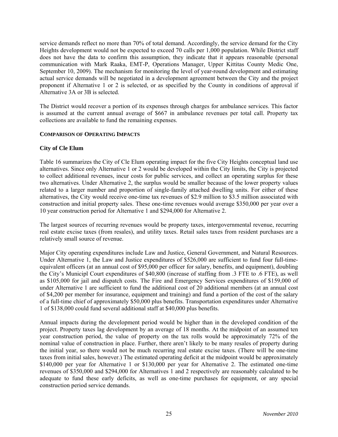service demands reflect no more than 70% of total demand. Accordingly, the service demand for the City Heights development would not be expected to exceed 70 calls per 1,000 population. While District staff does not have the data to confirm this assumption, they indicate that it appears reasonable (personal communication with Mark Raaka, EMT-P, Operations Manager, Upper Kittitas County Medic One, September 10, 2009). The mechanism for monitoring the level of year-round development and estimating actual service demands will be negotiated in a development agreement between the City and the project proponent if Alternative 1 or 2 is selected, or as specified by the County in conditions of approval if Alternative 3A or 3B is selected.

The District would recover a portion of its expenses through charges for ambulance services. This factor is assumed at the current annual average of \$667 in ambulance revenues per total call. Property tax collections are available to fund the remaining expenses.

# **COMPARISON OF OPERATING IMPACTS**

# **City of Cle Elum**

Table 16 summarizes the City of Cle Elum operating impact for the five City Heights conceptual land use alternatives. Since only Alternative 1 or 2 would be developed within the City limits, the City is projected to collect additional revenues, incur costs for public services, and collect an operating surplus for these two alternatives. Under Alternative 2, the surplus would be smaller because of the lower property values related to a larger number and proportion of single-family attached dwelling units. For either of these alternatives, the City would receive one-time tax revenues of \$2.9 million to \$3.5 million associated with construction and initial property sales. These one-time revenues would average \$350,000 per year over a 10 year construction period for Alternative 1 and \$294,000 for Alternative 2.

The largest sources of recurring revenues would be property taxes, intergovernmental revenue, recurring real estate excise taxes (from resales), and utility taxes. Retail sales taxes from resident purchases are a relatively small source of revenue.

Major City operating expenditures include Law and Justice, General Government, and Natural Resources. Under Alternative 1, the Law and Justice expenditures of \$526,000 are sufficient to fund four full-timeequivalent officers (at an annual cost of \$95,000 per officer for salary, benefits, and equipment), doubling the City's Municipl Court expenditures of \$40,800 (increase of staffing from .3 FTE to .6 FTE), as well as \$105,000 for jail and dispatch costs. The Fire and Emergency Services expenditures of \$159,000 of under Alternative 1 are sufficient to fund the additional cost of 20 additional members (at an annual cost of \$4,200 per member for insurance, equipment and training) and fund a portion of the cost of the salary of a full-time chief of approximately \$50,000 plus benefits. Transportation expenditures under Alternative 1 of \$138,000 could fund several additional staff at \$40,000 plus benefits.

Annual impacts during the development period would be higher than in the developed condition of the project. Property taxes lag development by an average of 18 months. At the midpoint of an assumed ten year construction period, the value of property on the tax rolls would be approximately 72% of the nominal value of construction in place. Further, there aren't likely to be many resales of property during the initial year, so there would not be much recurring real estate excise taxes. (There will be one-time taxes from initial sales, however.) The estimated operating deficit at the midpoint would be approximately \$140,000 per year for Alternative 1 or \$130,000 per year for Alternative 2. The estimated one-time revenues of \$350,000 and \$294,000 for Alternatives 1 and 2 respectively are reasonably calculated to be adequate to fund these early deficits, as well as one-time purchases for equipment, or any special construction period service demands.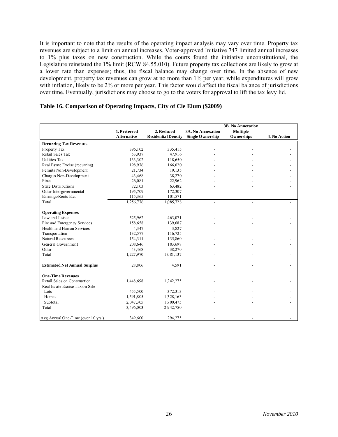It is important to note that the results of the operating impact analysis may vary over time. Property tax revenues are subject to a limit on annual increases. Voter-approved Initiative 747 limited annual increases to 1% plus taxes on new construction. While the courts found the initiative unconstitutional, the Legislature reinstated the 1% limit (RCW 84.55.010). Future property tax collections are likely to grow at a lower rate than expenses; thus, the fiscal balance may change over time. In the absence of new development, property tax revenues can grow at no more than 1% per year, while expenditures will grow with inflation, likely to be 2% or more per year. This factor would affect the fiscal balance of jurisdictions over time. Eventually, jurisdictions may choose to go to the voters for approval to lift the tax levy lid.

|                                     |                    |                            |                          | <b>3B.</b> No Annexation |              |
|-------------------------------------|--------------------|----------------------------|--------------------------|--------------------------|--------------|
|                                     | 1. Preferred       | 2. Reduced                 | <b>3A. No Annexation</b> | <b>Multiple</b>          |              |
|                                     | <b>Alternative</b> | <b>Residential Density</b> | Single Ownership         | Ownerships               | 4. No Action |
| <b>Recurring Tax Revenues</b>       |                    |                            |                          |                          |              |
| Property Tax                        | 396,102            | 335,415                    |                          |                          |              |
| Retail Sales Tax                    | 53.937             | 47,916                     |                          |                          |              |
| <b>Utilities Tax</b>                | 133,302            | 118,650                    |                          |                          |              |
| Real Estate Excise (recurring)      | 198,976            | 166,020                    |                          |                          |              |
| Permits Non-Development             | 21,734             | 19,135                     |                          |                          |              |
| Charges Non-Development             | 43,468             | 38,270                     |                          |                          |              |
| Fines                               | 26,081             | 22,962                     |                          |                          |              |
| <b>State Distributions</b>          | 72,103             | 63,482                     |                          |                          |              |
| Other Intergovernmental             | 195,709            | 172,307                    |                          |                          |              |
| Earnings/Rents Etc.                 | 115,365            | 101,571                    |                          |                          |              |
| Total                               | 1,256,776          | 1,085,728                  |                          |                          |              |
|                                     |                    |                            |                          |                          |              |
| <b>Operating Expenses</b>           |                    |                            |                          |                          |              |
| Law and Justice                     | 525.962            | 463,071                    |                          |                          |              |
| Fire and Emergency Services         | 158,658            | 139,687                    |                          |                          |              |
| Health and Human Services           | 4,347              | 3,827                      |                          |                          |              |
| Transportation                      | 132,577            | 116,725                    |                          |                          |              |
| Natural Resources                   | 154,311            | 135,860                    |                          |                          |              |
| General Government                  | 208,646            | 183,698                    |                          |                          |              |
| Other                               | 43,468             | 38,270                     |                          |                          |              |
| Total                               | 1,227,970          | 1,081,137                  |                          |                          |              |
| <b>Estimated Net Annual Surplus</b> | 28,806             | 4,591                      |                          |                          |              |
| <b>One-Time Revenues</b>            |                    |                            |                          |                          |              |
| Retail Sales on Construction        | 1,448,698          | 1,242,275                  |                          |                          |              |
| Real Estate Excise Tax on Sale      |                    |                            |                          |                          |              |
| Lots                                | 455,500            | 372,313                    |                          |                          |              |
| Homes                               | 1,591,805          | 1,328,163                  |                          |                          |              |
| Subtotal                            | 2,047,305          | 1,700,475                  |                          |                          |              |
| Total                               | 3,496,003          | 2,942,750                  |                          |                          |              |
| Avg Annual One-Time (over 10 yrs.)  | 349,600            | 294,275                    |                          |                          |              |

### **Table 16. Comparison of Operating Impacts, City of Cle Elum (\$2009)**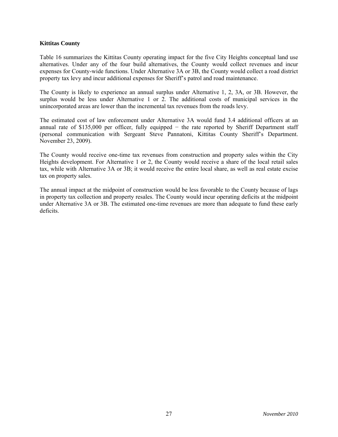# **Kittitas County**

Table 16 summarizes the Kittitas County operating impact for the five City Heights conceptual land use alternatives. Under any of the four build alternatives, the County would collect revenues and incur expenses for County-wide functions. Under Alternative 3A or 3B, the County would collect a road district property tax levy and incur additional expenses for Sheriff's patrol and road maintenance.

The County is likely to experience an annual surplus under Alternative 1, 2, 3A, or 3B. However, the surplus would be less under Alternative 1 or 2. The additional costs of municipal services in the unincorporated areas are lower than the incremental tax revenues from the roads levy.

The estimated cost of law enforcement under Alternative 3A would fund 3.4 additional officers at an annual rate of \$135,000 per officer, fully equipped − the rate reported by Sheriff Department staff (personal communication with Sergeant Steve Pannatoni, Kittitas County Sheriff's Department. November 23, 2009).

The County would receive one-time tax revenues from construction and property sales within the City Heights development. For Alternative 1 or 2, the County would receive a share of the local retail sales tax, while with Alternative 3A or 3B; it would receive the entire local share, as well as real estate excise tax on property sales.

The annual impact at the midpoint of construction would be less favorable to the County because of lags in property tax collection and property resales. The County would incur operating deficits at the midpoint under Alternative 3A or 3B. The estimated one-time revenues are more than adequate to fund these early deficits.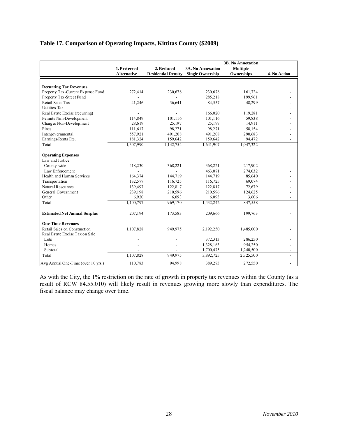# **Table 17. Comparison of Operating Impacts, Kittitas County (\$2009)**

|                                     |                    |                            |                          | <b>3B.</b> No Annexation |              |
|-------------------------------------|--------------------|----------------------------|--------------------------|--------------------------|--------------|
|                                     | 1. Preferred       | 2. Reduced                 | <b>3A. No Annexation</b> | <b>Multiple</b>          |              |
|                                     | <b>Alternative</b> | <b>Residential Density</b> | Single Ownership         | Ownerships               | 4. No Action |
|                                     |                    |                            |                          |                          |              |
| <b>Recurring Tax Revenues</b>       |                    |                            |                          |                          |              |
| Property Tax-Current Expense Fund   | 272,414            | 230,678                    | 230,678                  | 161,724                  |              |
| Property Tax-Street Fund            |                    |                            | 285,218                  | 199,961                  |              |
| Retail Sales Tax                    | 41,246             | 36,641                     | 84,557                   | 48,299                   |              |
| <b>Utilities Tax</b>                |                    |                            |                          |                          |              |
| Real Estate Excise (recurring)      |                    |                            | 166,020                  | 119,281                  |              |
| Permits Non-Development             | 114,849            | 101,116                    | 101,116                  | 59,838                   |              |
| Charges Non-Development             | 28,619             | 25,197                     | 25,197                   | 14,911                   |              |
| Fines                               | 111,617            | 98,271                     | 98,271                   | 58,154                   |              |
| Intergovernmental                   | 557,921            | 491,208                    | 491,208                  | 290,683                  |              |
| Earnings/Rents Etc.                 | 181,324            | 159,642                    | 159,642                  | 94,472                   |              |
| Total                               | 1,307,990          | 1,142,754                  | 1,641,907                | 1,047,322                |              |
| <b>Operating Expenses</b>           |                    |                            |                          |                          |              |
| Law and Justice                     |                    |                            |                          |                          |              |
| County-wide                         | 418,230            | 368,221                    | 368,221                  | 217,902                  |              |
| Law Enforcement                     |                    |                            | 463,071                  | 274,032                  |              |
| Health and Human Services           | 164,374            | 144,719                    | 144,719                  | 85,640                   |              |
| Transportation                      | 132,577            | 116,725                    | 116,725                  | 69,074                   |              |
| Natural Resources                   | 139,497            | 122,817                    | 122,817                  | 72,679                   |              |
| General Government                  | 239,198            | 210,596                    | 210,596                  | 124,625                  |              |
| Other                               | 6,920              | 6,093                      | 6,093                    | 3,606                    |              |
| Total                               | 1,100,797          | 969,170                    | 1,432,242                | 847,558                  |              |
| <b>Estimated Net Annual Surplus</b> | 207,194            | 173,583                    | 209,666                  | 199,763                  |              |
| <b>One-Time Revenues</b>            |                    |                            |                          |                          |              |
| Retail Sales on Construction        | 1,107,828          | 949,975                    | 2,192,250                | 1,485,000                |              |
| Real Estate Excise Tax on Sale      |                    |                            |                          |                          |              |
| Lots                                |                    |                            | 372,313                  | 286,250                  |              |
| Homes                               |                    |                            | 1,328,163                | 954,250                  |              |
| Subtotal                            |                    |                            | 1,700,475                | 1,240,500                |              |
| Total                               | 1,107,828          | 949,975                    | 3,892,725                | 2,725,500                |              |
| Avg Annual One-Time (over 10 yrs.)  | 110,783            | 94,998                     | 389,273                  | 272,550                  |              |

As with the City, the 1% restriction on the rate of growth in property tax revenues within the County (as a result of RCW 84.55.010) will likely result in revenues growing more slowly than expenditures. The fiscal balance may change over time.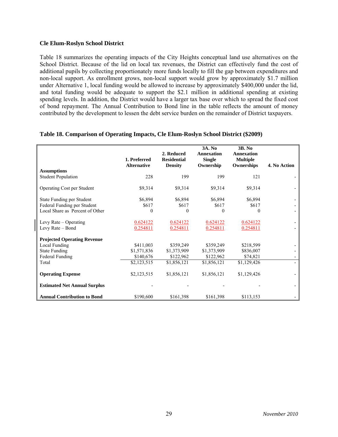### **Cle Elum-Roslyn School District**

Table 18 summarizes the operating impacts of the City Heights conceptual land use alternatives on the School District. Because of the lid on local tax revenues, the District can effectively fund the cost of additional pupils by collecting proportionately more funds locally to fill the gap between expenditures and non-local support. As enrollment grows, non-local support would grow by approximately \$1.7 million under Alternative 1, local funding would be allowed to increase by approximately \$400,000 under the lid, and total funding would be adequate to support the \$2.1 million in additional spending at existing spending levels. In addition, the District would have a larger tax base over which to spread the fixed cost of bond repayment. The Annual Contribution to Bond line in the table reflects the amount of money contributed by the development to lessen the debt service burden on the remainder of District taxpayers.

|                                                 | 1. Preferred<br><b>Alternative</b> | 2. Reduced<br><b>Residential</b><br><b>Density</b> | 3A. No<br><b>Annexation</b><br><b>Single</b><br>Ownership | 3B. No<br>Annexation<br><b>Multiple</b><br>Ownerships | 4. No Action |
|-------------------------------------------------|------------------------------------|----------------------------------------------------|-----------------------------------------------------------|-------------------------------------------------------|--------------|
| <b>Assumptions</b><br><b>Student Population</b> | 228                                | 199                                                | 199                                                       | 121                                                   |              |
|                                                 |                                    |                                                    |                                                           |                                                       |              |
| <b>Operating Cost per Student</b>               | \$9,314                            | \$9,314                                            | \$9,314                                                   | \$9,314                                               |              |
| State Funding per Student                       | \$6,894                            | \$6,894                                            | \$6,894                                                   | \$6,894                                               |              |
| Federal Funding per Student                     | \$617                              | \$617                                              | \$617                                                     | \$617                                                 |              |
| Local Share as Percent of Other                 | $\Omega$                           | 0                                                  | 0                                                         | $\Omega$                                              |              |
| Levy Rate $-$ Operating                         | 0.624122                           | 0.624122                                           | 0.624122                                                  | 0.624122                                              |              |
| Levy Rate – Bond                                | 0.254811                           | 0.254811                                           | 0.254811                                                  | 0.254811                                              |              |
| <b>Projected Operating Revenue</b>              |                                    |                                                    |                                                           |                                                       |              |
| Local Funding                                   | \$411,003                          | \$359,249                                          | \$359,249                                                 | \$218,599                                             |              |
| <b>State Funding</b>                            | \$1,571,836                        | \$1,373,909                                        | \$1,373,909                                               | \$836,007                                             |              |
| Federal Funding                                 | \$140,676                          | \$122,962                                          | \$122,962                                                 | \$74,821                                              |              |
| Total                                           | \$2,123,515                        | \$1,856,121                                        | \$1,856,121                                               | \$1,129,426                                           |              |
| <b>Operating Expense</b>                        | \$2,123,515                        | \$1,856,121                                        | \$1,856,121                                               | \$1,129,426                                           |              |
| <b>Estimated Net Annual Surplus</b>             |                                    |                                                    |                                                           |                                                       |              |
| <b>Annual Contribution to Bond</b>              | \$190,600                          | \$161,398                                          | \$161,398                                                 | \$113,153                                             |              |

#### **Table 18. Comparison of Operating Impacts, Cle Elum-Roslyn School District (\$2009)**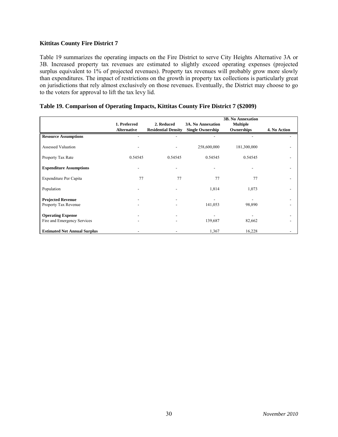# **Kittitas County Fire District 7**

Table 19 summarizes the operating impacts on the Fire District to serve City Heights Alternative 3A or 3B. Increased property tax revenues are estimated to slightly exceed operating expenses (projected surplus equivalent to 1% of projected revenues). Property tax revenues will probably grow more slowly than expenditures. The impact of restrictions on the growth in property tax collections is particularly great on jurisdictions that rely almost exclusively on those revenues. Eventually, the District may choose to go to the voters for approval to lift the tax levy lid.

|                                                         | 1. Preferred<br><b>Alternative</b> | 2. Reduced<br><b>Residential Density</b> | <b>3A. No Annexation</b><br><b>Single Ownership</b> | <b>3B. No Annexation</b><br><b>Multiple</b><br>Ownerships | 4. No Action |
|---------------------------------------------------------|------------------------------------|------------------------------------------|-----------------------------------------------------|-----------------------------------------------------------|--------------|
| <b>Resource Assumptions</b>                             |                                    |                                          |                                                     |                                                           |              |
| <b>Assessed Valuation</b>                               |                                    |                                          | 258,600,000                                         | 181,300,000                                               |              |
| Property Tax Rate                                       | 0.54545                            | 0.54545                                  | 0.54545                                             | 0.54545                                                   |              |
| <b>Expenditure Assumptions</b>                          |                                    |                                          |                                                     |                                                           |              |
| Expenditure Per Capita                                  | 77                                 | 77                                       | 77                                                  | 77                                                        |              |
| Population                                              |                                    |                                          | 1,814                                               | 1,073                                                     |              |
| <b>Projected Revenue</b><br>Property Tax Revenue        |                                    |                                          | 141,053                                             | 98,890                                                    |              |
| <b>Operating Expense</b><br>Fire and Emergency Services |                                    |                                          | 139,687                                             | 82,662                                                    |              |
| <b>Estimated Net Annual Surplus</b>                     |                                    |                                          | 1,367                                               | 16,228                                                    |              |

# **Table 19. Comparison of Operating Impacts, Kittitas County Fire District 7 (\$2009)**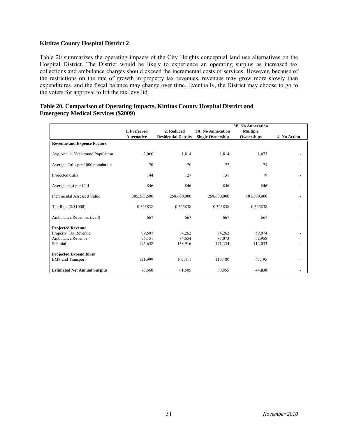# **Kittitas County Hospital District 2**

Table 20 summarizes the operating impacts of the City Heights conceptual land use alternatives on the Hospital District. The District would be likely to experience an operating surplus as increased tax collections and ambulance charges should exceed the incremental costs of services. However, because of the restrictions on the rate of growth in property tax revenues, revenues may grow more slowly than expenditures, and the fiscal balance may change over time. Eventually, the District may choose to go to the voters for approval to lift the tax levy lid.

| Table 20. Comparison of Operating Impacts, Kittitas County Hospital District and |  |  |
|----------------------------------------------------------------------------------|--|--|
| <b>Emergency Medical Services (\$2009)</b>                                       |  |  |

|                                     |                    |                            |                          | <b>3B. No Annexation</b> |                          |
|-------------------------------------|--------------------|----------------------------|--------------------------|--------------------------|--------------------------|
|                                     | 1. Preferred       | 2. Reduced                 | <b>3A. No Annexation</b> | <b>Multiple</b>          |                          |
|                                     | <b>Alternative</b> | <b>Residential Density</b> | <b>Single Ownership</b>  | Ownerships               | 4. No Action             |
| <b>Revenue and Expense Factors</b>  |                    |                            |                          |                          |                          |
| Avg Annual Year-round Population    | 2,060              | 1,814                      | 1,814                    | 1,073                    |                          |
| Average Calls per 1000 population   | 70                 | 70                         | 72                       | 74                       |                          |
| Projected Calls                     | 144                | 127                        | 131                      | 79                       | -                        |
| Average cost per Call               | 846                | 846                        | 846                      | 846                      | $\overline{\phantom{0}}$ |
| <b>Incremental Assessed Value</b>   | 305,388,500        | 258,600,000                | 258,600,000              | 181,300,000              | -                        |
| Tax Rate (\$/\$1000)                | 0.325838           | 0.325838                   | 0.325838                 | 0.325838                 | -                        |
| Ambulance Revenues (/call)          | 667                | 667                        | 667                      | 667                      | -                        |
| <b>Projected Revenue</b>            |                    |                            |                          |                          |                          |
| Property Tax Revenue                | 99,507             | 84,262                     | 84,262                   | 59,074                   | -                        |
| Ambulance Revenue                   | 96,151             | 84,654                     | 87,073                   | 52,958                   |                          |
| Subtotal                            | 195,658            | 168,916                    | 171,334                  | 112,033                  | $\overline{\phantom{0}}$ |
| <b>Projected Expenditures</b>       |                    |                            |                          |                          |                          |
| <b>EMS</b> and Transport            | 121,999            | 107,411                    | 110,480                  | 67,195                   | -                        |
| <b>Estimated Net Annual Surplus</b> | 73,660             | 61,505                     | 60,855                   | 44,838                   | -                        |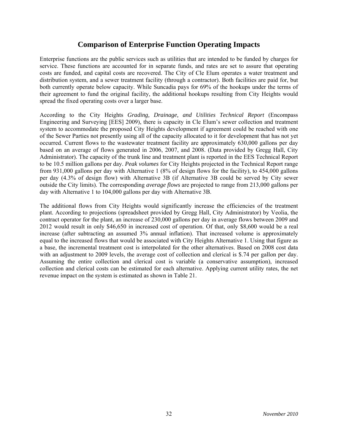# **Comparison of Enterprise Function Operating Impacts**

Enterprise functions are the public services such as utilities that are intended to be funded by charges for service. These functions are accounted for in separate funds, and rates are set to assure that operating costs are funded, and capital costs are recovered. The City of Cle Elum operates a water treatment and distribution system, and a sewer treatment facility (through a contractor). Both facilities are paid for, but both currently operate below capacity. While Suncadia pays for 69% of the hookups under the terms of their agreement to fund the original facility, the additional hookups resulting from City Heights would spread the fixed operating costs over a larger base.

According to the City Heights *Grading, Drainage, and Utilities Technical Report* (Encompass Engineering and Surveying [EES] 2009), there is capacity in Cle Elum's sewer collection and treatment system to accommodate the proposed City Heights development if agreement could be reached with one of the Sewer Parties not presently using all of the capacity allocated to it for development that has not yet occurred. Current flows to the wastewater treatment facility are approximately 630,000 gallons per day based on an average of flows generated in 2006, 2007, and 2008. (Data provided by Gregg Hall, City Administrator). The capacity of the trunk line and treatment plant is reported in the EES Technical Report to be 10.5 million gallons per day. *Peak volumes* for City Heights projected in the Technical Report range from 931,000 gallons per day with Alternative 1 (8% of design flows for the facility), to 454,000 gallons per day (4.3% of design flow) with Alternative 3B (if Alternative 3B could be served by City sewer outside the City limits). The corresponding *average flows* are projected to range from 213,000 gallons per day with Alternative 1 to 104,000 gallons per day with Alternative 3B.

The additional flows from City Heights would significantly increase the efficiencies of the treatment plant. According to projections (spreadsheet provided by Gregg Hall, City Administrator) by Veolia, the contract operator for the plant, an increase of 230,000 gallons per day in average flows between 2009 and 2012 would result in only \$46,650 in increased cost of operation. Of that, only \$8,600 would be a real increase (after subtracting an assumed 3% annual inflation). That increased volume is approximately equal to the increased flows that would be associated with City Heights Alternative 1. Using that figure as a base, the incremental treatment cost is interpolated for the other alternatives. Based on 2008 cost data with an adjustment to 2009 levels, the average cost of collection and clerical is \$.74 per gallon per day. Assuming the entire collection and clerical cost is variable (a conservative assumption), increased collection and clerical costs can be estimated for each alternative. Applying current utility rates, the net revenue impact on the system is estimated as shown in Table 21.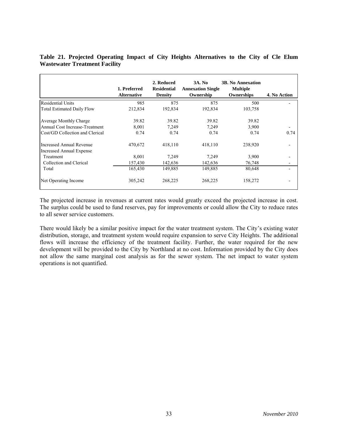|                                                                    | 1. Preferred<br><b>Alternative</b> | 2. Reduced<br><b>Residential</b><br><b>Density</b> | <b>3A. No</b><br><b>Annexation Single</b><br>Ownership | <b>3B. No Annexation</b><br><b>Multiple</b><br>Ownerships | 4. No Action |
|--------------------------------------------------------------------|------------------------------------|----------------------------------------------------|--------------------------------------------------------|-----------------------------------------------------------|--------------|
| <b>Residential Units</b>                                           | 985                                | 875                                                | 875                                                    | 500                                                       |              |
| <b>Total Estimated Daily Flow</b>                                  | 212,834                            | 192,834                                            | 192,834                                                | 103,758                                                   |              |
| Average Monthly Charge                                             | 39.82                              | 39.82                                              | 39.82                                                  | 39.82                                                     |              |
| Annual Cost Increase-Treatment                                     | 8,001                              | 7,249                                              | 7,249                                                  | 3,900                                                     |              |
| Cost/GD Collection and Clerical                                    | 0.74                               | 0.74                                               | 0.74                                                   | 0.74                                                      | 0.74         |
| <b>Increased Annual Revenue</b><br><b>Increased Annual Expense</b> | 470,672                            | 418,110                                            | 418,110                                                | 238,920                                                   |              |
| Treatment                                                          | 8,001                              | 7,249                                              | 7,249                                                  | 3,900                                                     |              |
| Collection and Clerical                                            | 157,430                            | 142,636                                            | 142,636                                                | 76,748                                                    |              |
| Total                                                              | 165,430                            | 149,885                                            | 149,885                                                | 80,648                                                    |              |
| Net Operating Income                                               | 305,242                            | 268,225                                            | 268,225                                                | 158,272                                                   |              |

# **Table 21. Projected Operating Impact of City Heights Alternatives to the City of Cle Elum Wastewater Treatment Facility**

The projected increase in revenues at current rates would greatly exceed the projected increase in cost. The surplus could be used to fund reserves, pay for improvements or could allow the City to reduce rates to all sewer service customers.

There would likely be a similar positive impact for the water treatment system. The City's existing water distribution, storage, and treatment system would require expansion to serve City Heights. The additional flows will increase the efficiency of the treatment facility. Further, the water required for the new development will be provided to the City by Northland at no cost. Information provided by the City does not allow the same marginal cost analysis as for the sewer system. The net impact to water system operations is not quantified.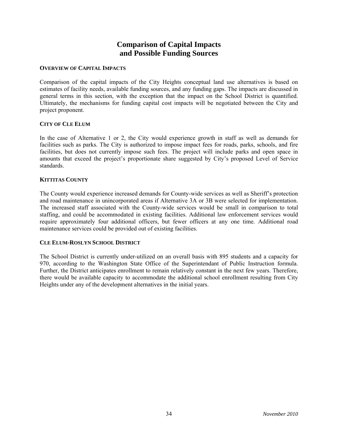# **Comparison of Capital Impacts and Possible Funding Sources**

### **OVERVIEW OF CAPITAL IMPACTS**

Comparison of the capital impacts of the City Heights conceptual land use alternatives is based on estimates of facility needs, available funding sources, and any funding gaps. The impacts are discussed in general terms in this section, with the exception that the impact on the School District is quantified. Ultimately, the mechanisms for funding capital cost impacts will be negotiated between the City and project proponent.

#### **CITY OF CLE ELUM**

In the case of Alternative 1 or 2, the City would experience growth in staff as well as demands for facilities such as parks. The City is authorized to impose impact fees for roads, parks, schools, and fire facilities, but does not currently impose such fees. The project will include parks and open space in amounts that exceed the project's proportionate share suggested by City's proposed Level of Service standards.

#### **KITTITAS COUNTY**

The County would experience increased demands for County-wide services as well as Sheriff's protection and road maintenance in unincorporated areas if Alternative 3A or 3B were selected for implementation. The increased staff associated with the County-wide services would be small in comparison to total staffing, and could be accommodated in existing facilities. Additional law enforcement services would require approximately four additional officers, but fewer officers at any one time. Additional road maintenance services could be provided out of existing facilities.

# **CLE ELUM-ROSLYN SCHOOL DISTRICT**

The School District is currently under-utilized on an overall basis with 895 students and a capacity for 970, according to the Washington State Office of the Superintendant of Public Instruction formula. Further, the District anticipates enrollment to remain relatively constant in the next few years. Therefore, there would be available capacity to accommodate the additional school enrollment resulting from City Heights under any of the development alternatives in the initial years.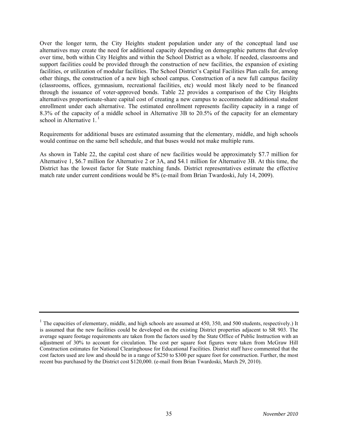Over the longer term, the City Heights student population under any of the conceptual land use alternatives may create the need for additional capacity depending on demographic patterns that develop over time, both within City Heights and within the School District as a whole. If needed, classrooms and support facilities could be provided through the construction of new facilities, the expansion of existing facilities, or utilization of modular facilities. The School District's Capital Facilities Plan calls for, among other things, the construction of a new high school campus. Construction of a new full campus facility (classrooms, offices, gymnasium, recreational facilities, etc) would most likely need to be financed through the issuance of voter-approved bonds. Table 22 provides a comparison of the City Heights alternatives proportionate-share capital cost of creating a new campus to accommodate additional student enrollment under each alternative. The estimated enrollment represents facility capacity in a range of 8.3% of the capacity of a middle school in Alternative 3B to 20.5% of the capacity for an elementary school in Alternative  $1<sup>1</sup>$ 

Requirements for additional buses are estimated assuming that the elementary, middle, and high schools would continue on the same bell schedule, and that buses would not make multiple runs.

As shown in Table 22, the capital cost share of new facilities would be approximately \$7.7 million for Alternative 1, \$6.7 million for Alternative 2 or 3A, and \$4.1 million for Alternative 3B. At this time, the District has the lowest factor for State matching funds. District representatives estimate the effective match rate under current conditions would be 8% (e-mail from Brian Twardoski, July 14, 2009).

<sup>&</sup>lt;sup>1</sup> The capacities of elementary, middle, and high schools are assumed at 450, 350, and 500 students, respectively.) It is assumed that the new facilities could be developed on the existing District properties adjacent to SR 903. The average square footage requirements are taken from the factors used by the State Office of Public Instruction with an adjustment of 30% to account for circulation. The cost per square foot figures were taken from McGraw Hill Construction estimates for National Clearinghouse for Educational Facilities. District staff have commented that the cost factors used are low and should be in a range of \$250 to \$300 per square foot for construction. Further, the most recent bus purchased by the District cost \$120,000. (e-mail from Brian Twardoski, March 29, 2010).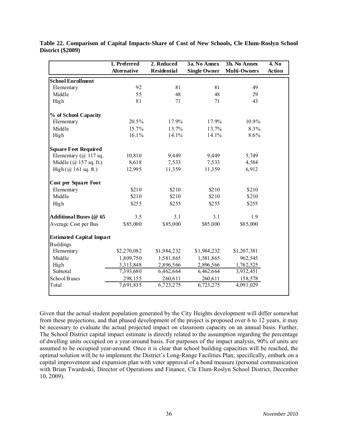|                                 | 1. Preferred       | 2. Reduced         | 3a. No Annex        | 3b. No Annex        | 4. No         |
|---------------------------------|--------------------|--------------------|---------------------|---------------------|---------------|
|                                 | <b>Alternative</b> | <b>Residential</b> | <b>Single Owner</b> | <b>Multi-Owners</b> | <b>Action</b> |
| <b>School Enrollment</b>        |                    |                    |                     |                     |               |
| Elementary                      | 92                 | 81                 | 81                  | 49                  |               |
| Middle                          | 55                 | 48                 | 48                  | 29                  |               |
| High                            | 81                 | 71                 | 71                  | 43                  |               |
| % of School Capacity            |                    |                    |                     |                     |               |
| Elementary                      | 20.5%              | 17.9%              | 17.9%               | 10.9%               |               |
| Middle                          | 15.7%              | 13.7%              | 13.7%               | 8.3%                |               |
| High                            | 16.1%              | 14.1%              | 14.1%               | 8.6%                |               |
| <b>Square Feet Required</b>     |                    |                    |                     |                     |               |
| Elementary $(a)$ 117 sq.        | 10,810             | 9,449              | 9,449               | 5,749               |               |
| Middle $(Q)$ 157 sq. ft.)       | 8,618              | 7,533              | 7,533               | 4,584               |               |
| High $(\omega)$ 161 sq. ft.)    | 12,995             | 11,359             | 11,359              | 6,912               |               |
| <b>Cost per Square Foot</b>     |                    |                    |                     |                     |               |
| Elementary                      | \$210              | \$210              | \$210               | \$210               |               |
| Middle                          | \$210              | \$210              | \$210               | \$210               |               |
| High                            | \$255              | \$255              | \$255               | \$255               |               |
| <b>Additional Buses (@ 65</b>   | 3.5                | 3.1                | 3.1                 | 1.9                 |               |
| Average Cost per Bus            | \$85,000           | \$85,000           | \$85,000            | \$85,000            |               |
| <b>Estimated Capital Impact</b> |                    |                    |                     |                     |               |
| <b>Buildings</b>                |                    |                    |                     |                     |               |
| Elementary                      | \$2,270,082        | \$1,984,232        | \$1,984,232         | \$1,207,381         |               |
| Middle                          | 1,809,750          | 1,581,865          | 1,581,865           | 962,545             |               |
| High                            | 3,313,848          | 2,896,566          | 2,896,566           | 1,762,525           |               |
| Subtotal                        | 7,393,680          | 6,462,664          | 6,462,664           | 3,932,451           |               |
| School Buses                    | 298,155            | 260,611            | 260,611             | 158,578             |               |
| Total                           | 7,691,835          | 6,723,275          | 6,723,275           | 4,091,029           |               |

**Table 22. Comparison of Capital Impacts-Share of Cost of New Schools, Cle Elum-Roslyn School District (\$2009)** 

Given that the actual student population generated by the City Heights development will differ somewhat from these projections, and that phased development of the project is proposed over 6 to 12 years, it may be necessary to evaluate the actual projected impact on classroom capacity on an annual basis. Further, The School District capital impact estimate is directly related to the assumption regarding the percentage of dwelling units occupied on a year-around basis. For purposes of the impact analysis, 90% of units are assumed to be occupied year-around. Once it is clear that school building capacities will be reached, the optimal solution will be to implement the District's Long-Range Facilities Plan; specifically, embark on a capital improvement and expansion plan with voter approval of a bond measure (personal communication with Brian Twardoski, Director of Operations and Finance, Cle Elum-Roslyn School District, December 10, 2009).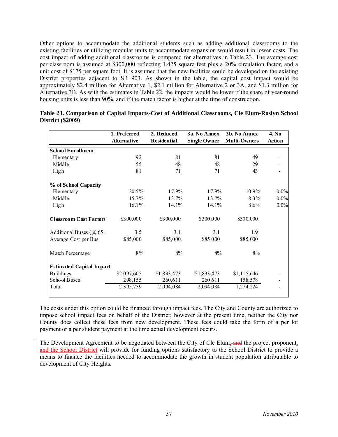Other options to accommodate the additional students such as adding additional classrooms to the existing facilities or utilizing modular units to accommodate expansion would result in lower costs. The cost impact of adding additional classrooms is compared for alternatives in Table 23. The average cost per classroom is assumed at \$300,000 reflecting 1,425 square feet plus a 20% circulation factor, and a unit cost of \$175 per square foot. It is assumed that the new facilities could be developed on the existing District properties adjacent to SR 903. As shown in the table, the capital cost impact would be approximately \$2.4 million for Alternative 1, \$2.1 million for Alternative 2 or 3A, and \$1.3 million for Alternative 3B. As with the estimates in Table 22, the impacts would be lower if the share of year-round housing units is less than 90%, and if the match factor is higher at the time of construction.

|                                 | 1. Preferred       | 2. Reduced         | 3a. No Annex        | 3b. No Annex        | 4. No  |
|---------------------------------|--------------------|--------------------|---------------------|---------------------|--------|
|                                 | <b>Alternative</b> | <b>Residential</b> | <b>Single Owner</b> | <b>Multi-Owners</b> | Action |
| <b>School Enrollment</b>        |                    |                    |                     |                     |        |
| Elementary                      | 92                 | 81                 | 81                  | 49                  |        |
| Middle                          | 55                 | 48                 | 48                  | 29                  |        |
| High                            | 81                 | 71                 | 71                  | 43                  |        |
| % of School Capacity            |                    |                    |                     |                     |        |
| Elementary                      | 20.5%              | 17.9%              | 17.9%               | 10.9%               | 0.0%   |
| Middle                          | 15.7%              | 13.7%              | 13.7%               | 8.3%                | 0.0%   |
| High                            | $16.1\%$           | 14.1%              | 14.1%               | 8.6%                | 0.0%   |
| <b>Classroom Cost Factors</b>   | \$300,000          | \$300,000          | \$300,000           | \$300,000           |        |
| Additional Buses $(a)$ 65:      | 3.5                | 3.1                | 3.1                 | 1.9                 |        |
| Average Cost per Bus            | \$85,000           | \$85,000           | \$85,000            | \$85,000            |        |
| Match Percentage                | $8\%$              | 8%                 | 8%                  | 8%                  |        |
| <b>Estimated Capital Impact</b> |                    |                    |                     |                     |        |
| <b>Buildings</b>                | \$2,097,605        | \$1,833,473        | \$1,833,473         | \$1,115,646         |        |
| School Buses                    | 298,155            | 260,611            | 260,611             | 158,578             |        |
| Total                           | 2,395,759          | 2,094,084          | 2,094,084           | 1,274,224           |        |

| Table 23. Comparison of Capital Impacts-Cost of Additional Classrooms, Cle Elum-Roslyn School |  |  |  |
|-----------------------------------------------------------------------------------------------|--|--|--|
| <b>District (\$2009)</b>                                                                      |  |  |  |

The costs under this option could be financed through impact fees. The City and County are authorized to impose school impact fees on behalf of the District; however at the present time, neither the City nor County does collect these fees from new development. These fees could take the form of a per lot payment or a per student payment at the time actual development occurs.

The Development Agreement to be negotiated between the City of Cle Elum, and the project proponent, and the School District will provide for funding options satisfactory to the School District to provide a means to finance the facilities needed to accommodate the growth in student population attributable to development of City Heights.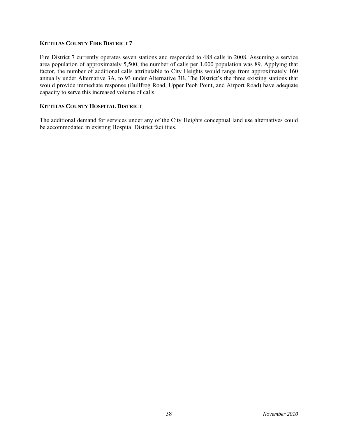#### **KITTITAS COUNTY FIRE DISTRICT 7**

Fire District 7 currently operates seven stations and responded to 488 calls in 2008. Assuming a service area population of approximately 5,500, the number of calls per 1,000 population was 89. Applying that factor, the number of additional calls attributable to City Heights would range from approximately 160 annually under Alternative 3A, to 93 under Alternative 3B. The District's the three existing stations that would provide immediate response (Bullfrog Road, Upper Peoh Point, and Airport Road) have adequate capacity to serve this increased volume of calls.

# **KITTITAS COUNTY HOSPITAL DISTRICT**

The additional demand for services under any of the City Heights conceptual land use alternatives could be accommodated in existing Hospital District facilities.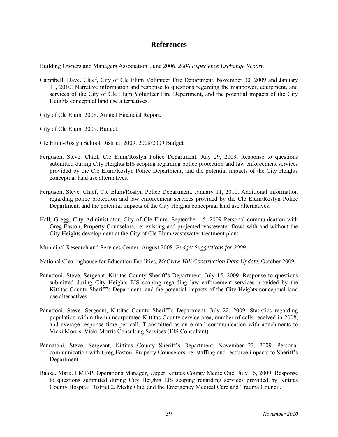# **References**

Building Owners and Managers Association. June 2006. *2006 Experience Exchange Report.* 

Campbell, Dave. Chief, City of Cle Elum Volunteer Fire Department. November 30, 2009 and January 11, 2010. Narrative information and response to questions regarding the manpower, equipment, and services of the City of Cle Elum Volunteer Fire Department, and the potential impacts of the City Heights conceptual land use alternatives.

City of Cle Elum. 2008. Annual Financial Report.

City of Cle Elum. 2009. Budget.

Cle Elum-Roslyn School District. 2009. 2008/2009 Budget.

- Ferguson, Steve. Chief, Cle Elum/Roslyn Police Department. July 29, 2009. Response to questions submitted during City Heights EIS scoping regarding police protection and law enforcement services provided by the Cle Elum/Roslyn Police Department, and the potential impacts of the City Heights conceptual land use alternatives.
- Ferguson, Steve. Chief, Cle Elum/Roslyn Police Department. January 11, 2010. Additional information regarding police protection and law enforcement services provided by the Cle Elum/Roslyn Police Department, and the potential impacts of the City Heights conceptual land use alternatives.
- Hall, Gregg, City Administrator. City of Cle Elum. September 15, 2009 Personal communication with Greg Easton, Property Counselors, re: existing and projected wastewater flows with and without the City Heights development at the City of Cle Elum wastewater treatment plant.

Municipal Research and Services Center. August 2008. *Budget Suggestions for 2009*.

National Clearinghouse for Education Facilities, *McGraw-Hill Construction Data Update*, October 2009.

- Panattoni, Steve. Sergeant, Kittitas County Sheriff's Department. July 15, 2009. Response to questions submitted during City Heights EIS scoping regarding law enforcement services provided by the Kittitas County Sheriff's Department, and the potential impacts of the City Heights conceptual land use alternatives.
- Panattoni, Steve. Sergeant, Kittitas County Sheriff's Department. July 22, 2009. Statistics regarding population within the unincorporated Kittitas County service area, number of calls received in 2008, and average response time per call. Transmitted as an e-mail communication with attachments to Vicki Morris, Vicki Morris Consulting Services (EIS Consultant).
- Pannatoni, Steve. Sergeant, Kittitas County Sheriff's Department. November 23, 2009. Personal communication with Greg Easton, Property Counselors, re: staffing and resource impacts to Sheriff's Department.
- Raaka, Mark. EMT-P, Operations Manager, Upper Kittitas County Medic One. July 16, 2009. Response to questions submitted during City Heights EIS scoping regarding services provided by Kittitas County Hospital District 2, Medic One, and the Emergency Medical Care and Trauma Council.